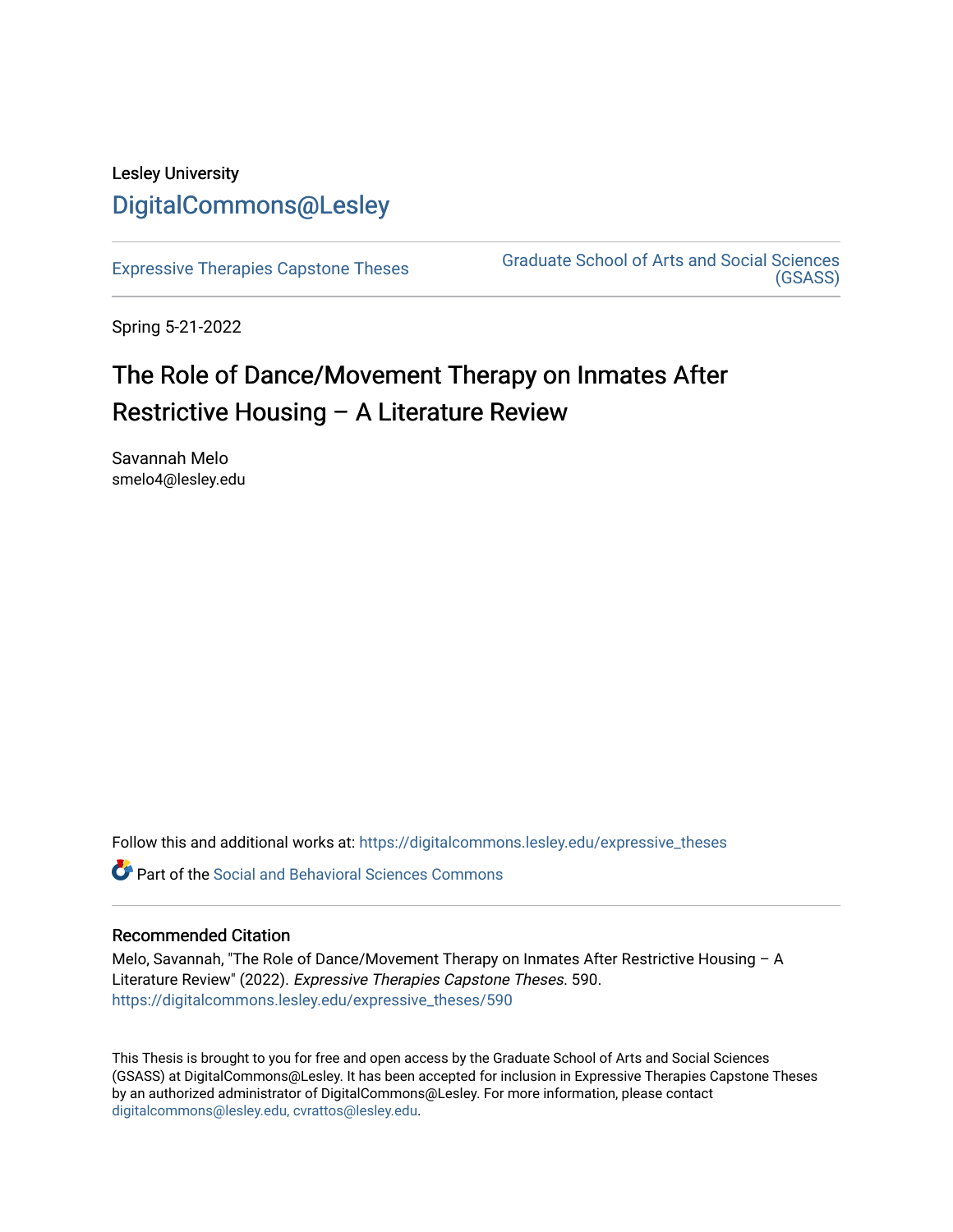## Lesley University [DigitalCommons@Lesley](https://digitalcommons.lesley.edu/)

[Expressive Therapies Capstone Theses](https://digitalcommons.lesley.edu/expressive_theses) Graduate School of Arts and Social Sciences [\(GSASS\)](https://digitalcommons.lesley.edu/gsass) 

Spring 5-21-2022

# The Role of Dance/Movement Therapy on Inmates After Restrictive Housing – A Literature Review

Savannah Melo smelo4@lesley.edu

Follow this and additional works at: [https://digitalcommons.lesley.edu/expressive\\_theses](https://digitalcommons.lesley.edu/expressive_theses?utm_source=digitalcommons.lesley.edu%2Fexpressive_theses%2F590&utm_medium=PDF&utm_campaign=PDFCoverPages)

Part of the [Social and Behavioral Sciences Commons](http://network.bepress.com/hgg/discipline/316?utm_source=digitalcommons.lesley.edu%2Fexpressive_theses%2F590&utm_medium=PDF&utm_campaign=PDFCoverPages) 

#### Recommended Citation

Melo, Savannah, "The Role of Dance/Movement Therapy on Inmates After Restrictive Housing – A Literature Review" (2022). Expressive Therapies Capstone Theses. 590. [https://digitalcommons.lesley.edu/expressive\\_theses/590](https://digitalcommons.lesley.edu/expressive_theses/590?utm_source=digitalcommons.lesley.edu%2Fexpressive_theses%2F590&utm_medium=PDF&utm_campaign=PDFCoverPages)

This Thesis is brought to you for free and open access by the Graduate School of Arts and Social Sciences (GSASS) at DigitalCommons@Lesley. It has been accepted for inclusion in Expressive Therapies Capstone Theses by an authorized administrator of DigitalCommons@Lesley. For more information, please contact [digitalcommons@lesley.edu, cvrattos@lesley.edu](mailto:digitalcommons@lesley.edu,%20cvrattos@lesley.edu).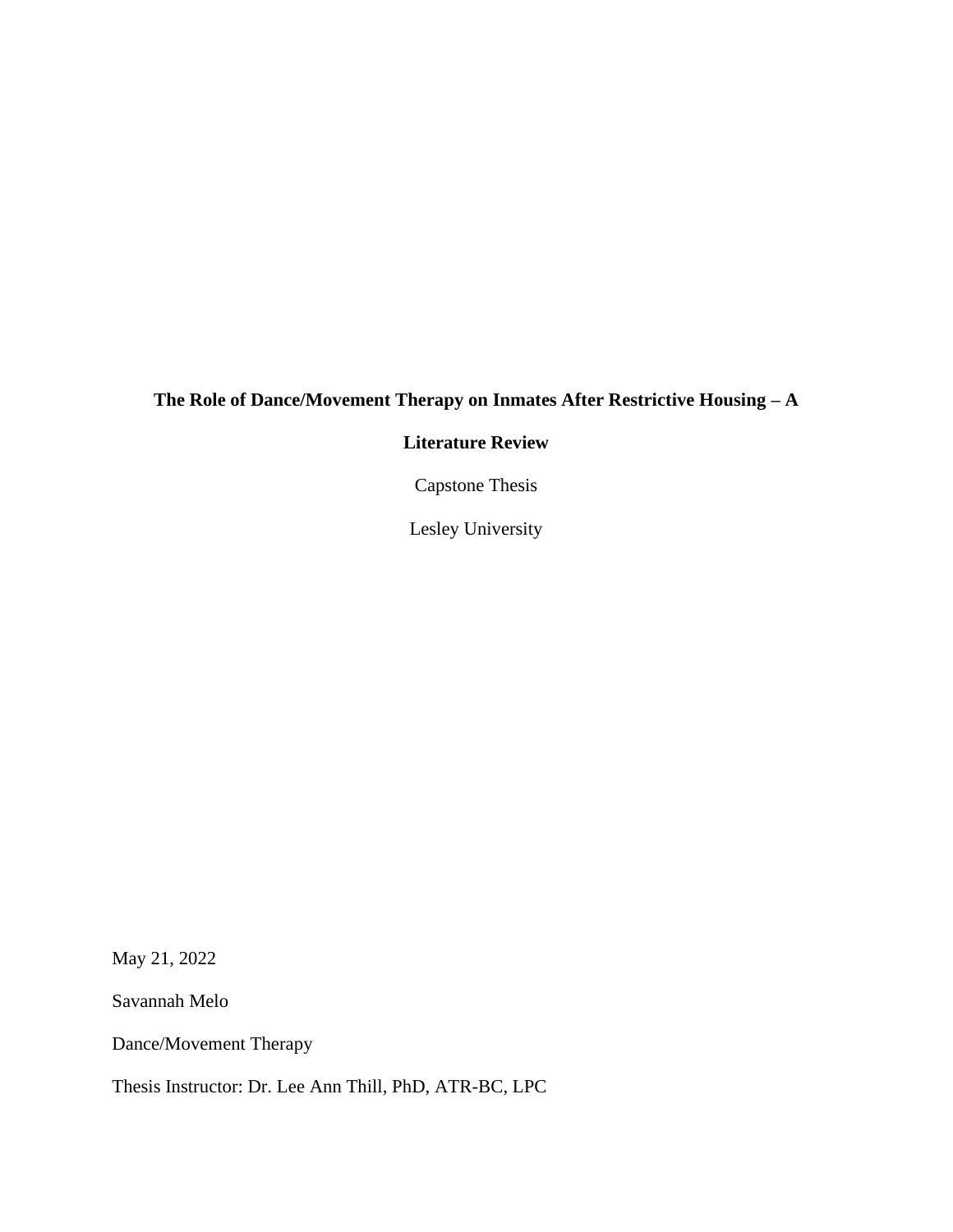### **The Role of Dance/Movement Therapy on Inmates After Restrictive Housing – A**

### **Literature Review**

Capstone Thesis

Lesley University

May 21, 2022

Savannah Melo

Dance/Movement Therapy

Thesis Instructor: Dr. Lee Ann Thill, PhD, ATR-BC, LPC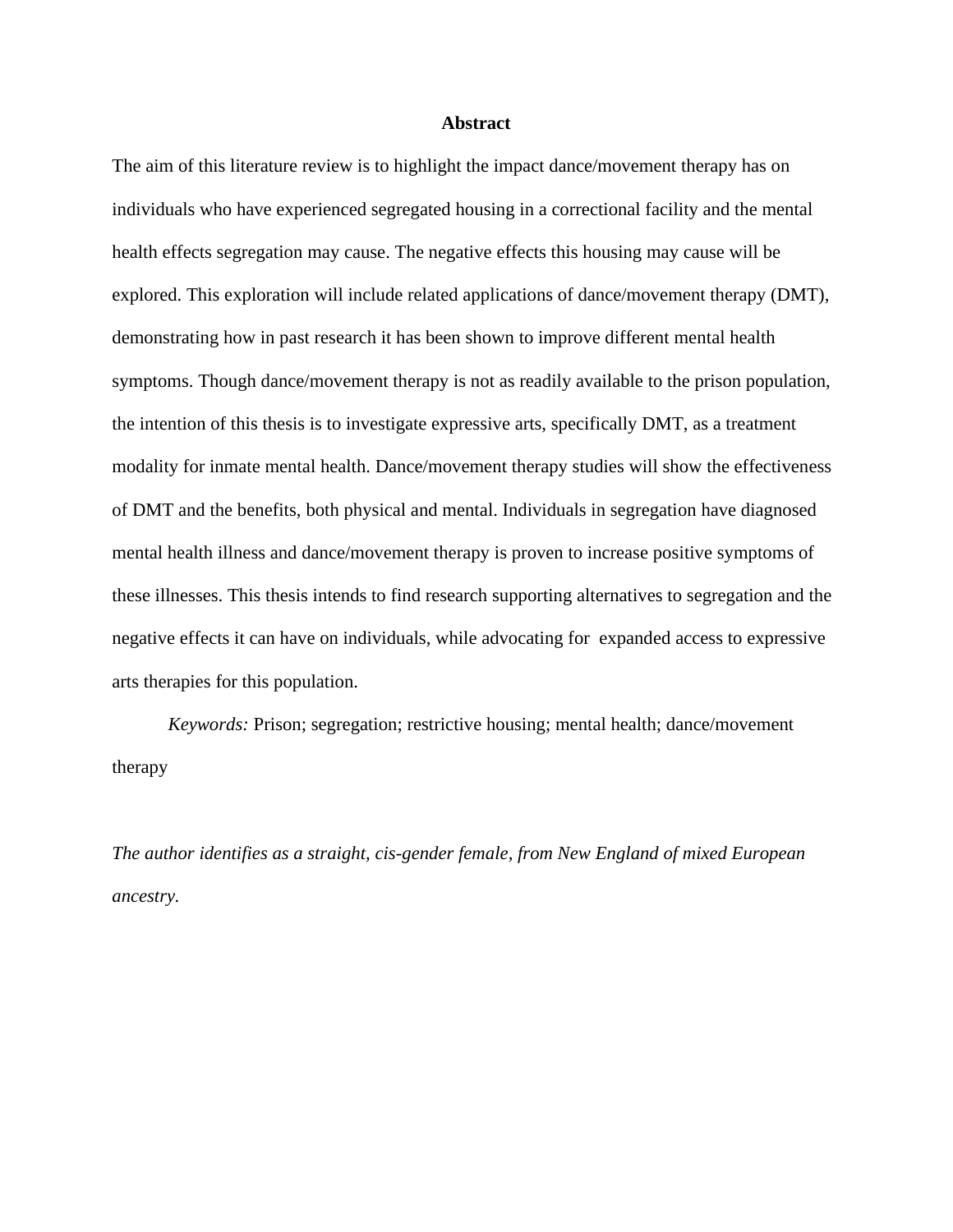#### **Abstract**

The aim of this literature review is to highlight the impact dance/movement therapy has on individuals who have experienced segregated housing in a correctional facility and the mental health effects segregation may cause. The negative effects this housing may cause will be explored. This exploration will include related applications of dance/movement therapy (DMT), demonstrating how in past research it has been shown to improve different mental health symptoms. Though dance/movement therapy is not as readily available to the prison population, the intention of this thesis is to investigate expressive arts, specifically DMT, as a treatment modality for inmate mental health. Dance/movement therapy studies will show the effectiveness of DMT and the benefits, both physical and mental. Individuals in segregation have diagnosed mental health illness and dance/movement therapy is proven to increase positive symptoms of these illnesses. This thesis intends to find research supporting alternatives to segregation and the negative effects it can have on individuals, while advocating for expanded access to expressive arts therapies for this population.

*Keywords:* Prison; segregation; restrictive housing; mental health; dance/movement therapy

*The author identifies as a straight, cis-gender female, from New England of mixed European ancestry.*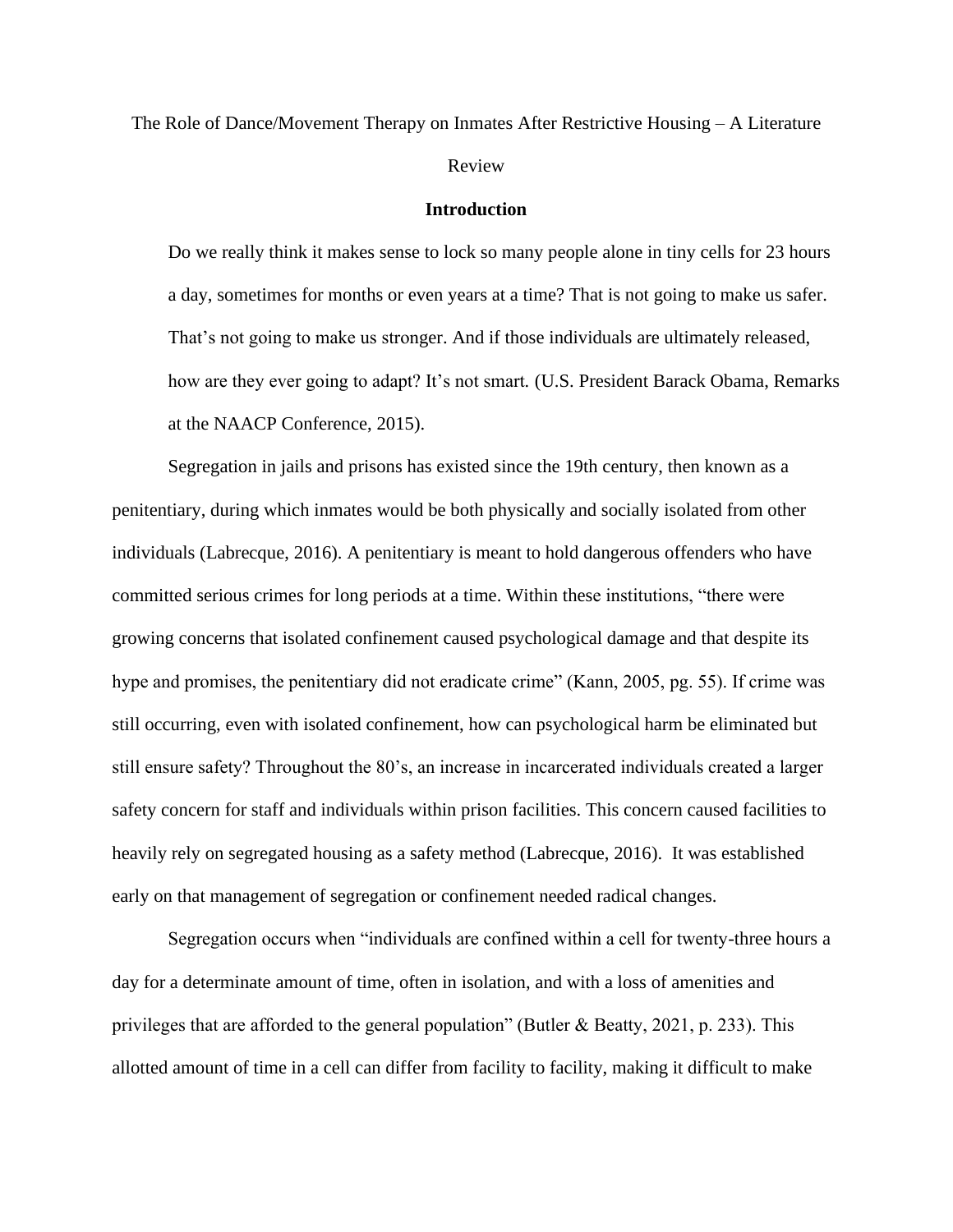# The Role of Dance/Movement Therapy on Inmates After Restrictive Housing – A Literature Review

#### **Introduction**

Do we really think it makes sense to lock so many people alone in tiny cells for 23 hours a day, sometimes for months or even years at a time? That is not going to make us safer. That's not going to make us stronger. And if those individuals are ultimately released, how are they ever going to adapt? It's not smart*.* (U.S. President Barack Obama, Remarks at the NAACP Conference, 2015).

Segregation in jails and prisons has existed since the 19th century, then known as a penitentiary, during which inmates would be both physically and socially isolated from other individuals (Labrecque, 2016). A penitentiary is meant to hold dangerous offenders who have committed serious crimes for long periods at a time. Within these institutions, "there were growing concerns that isolated confinement caused psychological damage and that despite its hype and promises, the penitentiary did not eradicate crime" (Kann, 2005, pg. 55). If crime was still occurring, even with isolated confinement, how can psychological harm be eliminated but still ensure safety? Throughout the 80's, an increase in incarcerated individuals created a larger safety concern for staff and individuals within prison facilities. This concern caused facilities to heavily rely on segregated housing as a safety method (Labrecque, 2016). It was established early on that management of segregation or confinement needed radical changes.

Segregation occurs when "individuals are confined within a cell for twenty-three hours a day for a determinate amount of time, often in isolation, and with a loss of amenities and privileges that are afforded to the general population" (Butler & Beatty, 2021, p. 233). This allotted amount of time in a cell can differ from facility to facility, making it difficult to make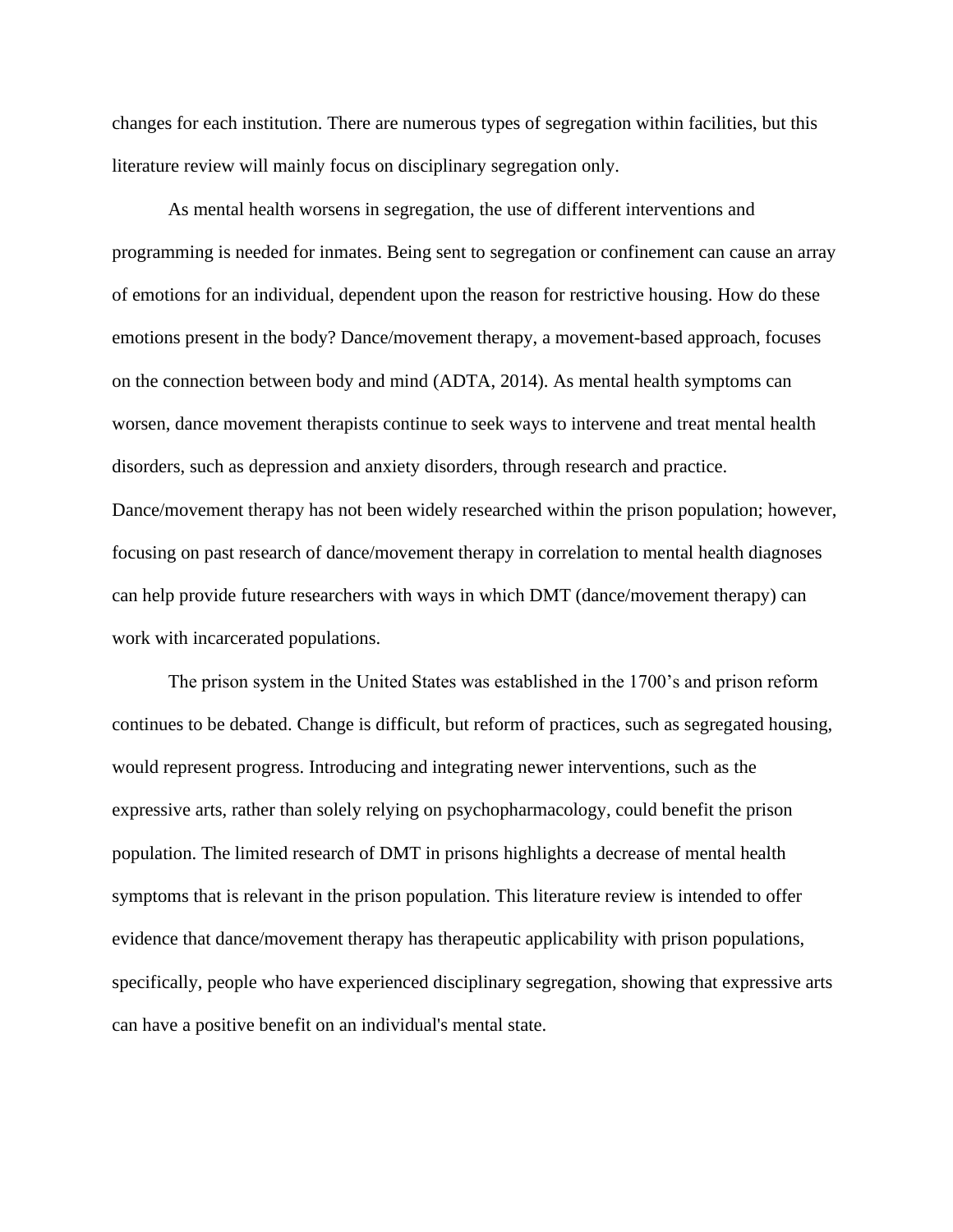changes for each institution. There are numerous types of segregation within facilities, but this literature review will mainly focus on disciplinary segregation only.

As mental health worsens in segregation, the use of different interventions and programming is needed for inmates. Being sent to segregation or confinement can cause an array of emotions for an individual, dependent upon the reason for restrictive housing. How do these emotions present in the body? Dance/movement therapy, a movement-based approach, focuses on the connection between body and mind (ADTA, 2014). As mental health symptoms can worsen, dance movement therapists continue to seek ways to intervene and treat mental health disorders, such as depression and anxiety disorders, through research and practice. Dance/movement therapy has not been widely researched within the prison population; however, focusing on past research of dance/movement therapy in correlation to mental health diagnoses can help provide future researchers with ways in which DMT (dance/movement therapy) can work with incarcerated populations.

The prison system in the United States was established in the 1700's and prison reform continues to be debated. Change is difficult, but reform of practices, such as segregated housing, would represent progress. Introducing and integrating newer interventions, such as the expressive arts, rather than solely relying on psychopharmacology, could benefit the prison population. The limited research of DMT in prisons highlights a decrease of mental health symptoms that is relevant in the prison population. This literature review is intended to offer evidence that dance/movement therapy has therapeutic applicability with prison populations, specifically, people who have experienced disciplinary segregation, showing that expressive arts can have a positive benefit on an individual's mental state.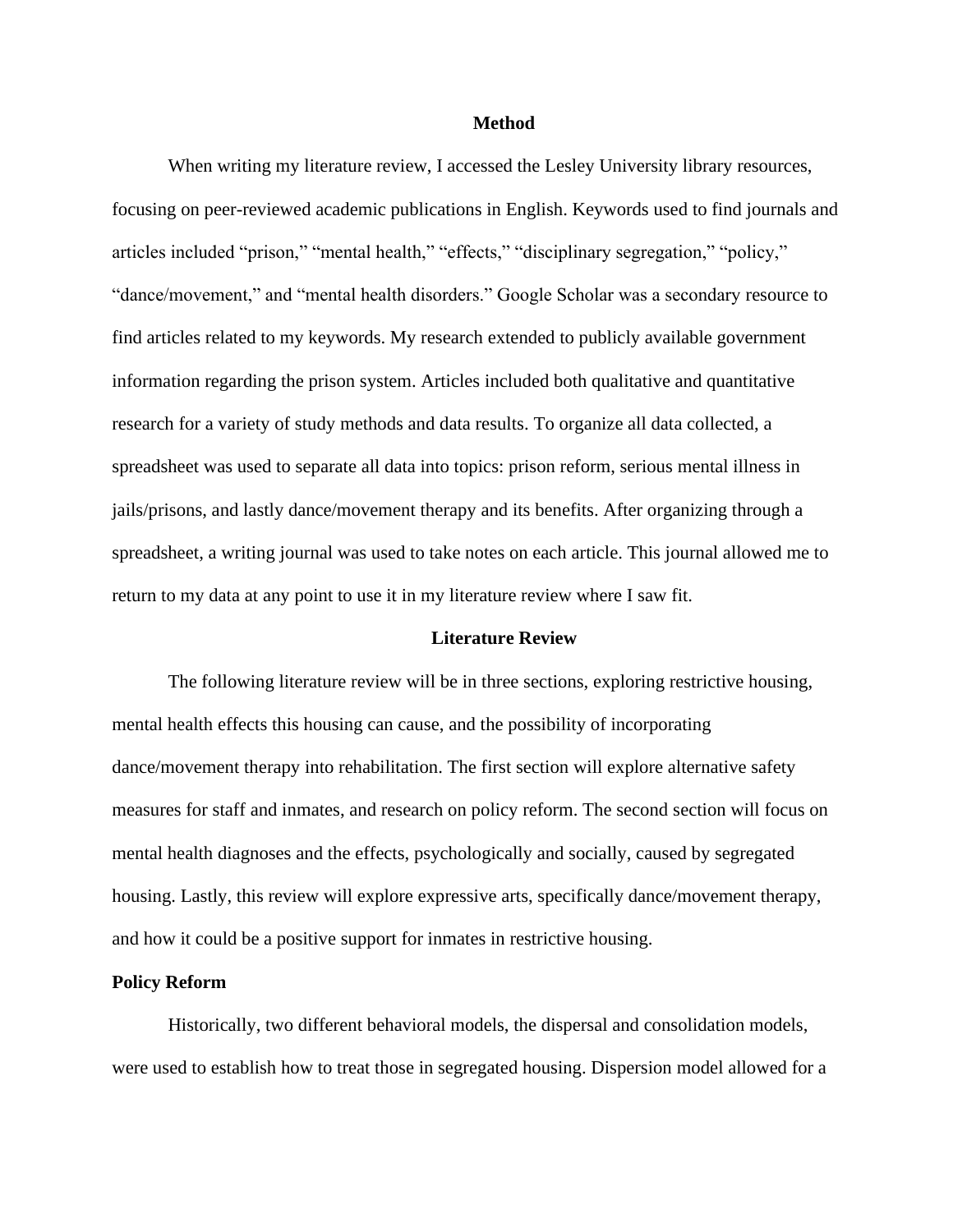#### **Method**

When writing my literature review, I accessed the Lesley University library resources, focusing on peer-reviewed academic publications in English. Keywords used to find journals and articles included "prison," "mental health," "effects," "disciplinary segregation," "policy," "dance/movement," and "mental health disorders." Google Scholar was a secondary resource to find articles related to my keywords. My research extended to publicly available government information regarding the prison system. Articles included both qualitative and quantitative research for a variety of study methods and data results. To organize all data collected, a spreadsheet was used to separate all data into topics: prison reform, serious mental illness in jails/prisons, and lastly dance/movement therapy and its benefits. After organizing through a spreadsheet, a writing journal was used to take notes on each article. This journal allowed me to return to my data at any point to use it in my literature review where I saw fit.

#### **Literature Review**

The following literature review will be in three sections, exploring restrictive housing, mental health effects this housing can cause, and the possibility of incorporating dance/movement therapy into rehabilitation. The first section will explore alternative safety measures for staff and inmates, and research on policy reform. The second section will focus on mental health diagnoses and the effects, psychologically and socially, caused by segregated housing. Lastly, this review will explore expressive arts, specifically dance/movement therapy, and how it could be a positive support for inmates in restrictive housing.

#### **Policy Reform**

Historically, two different behavioral models, the dispersal and consolidation models, were used to establish how to treat those in segregated housing. Dispersion model allowed for a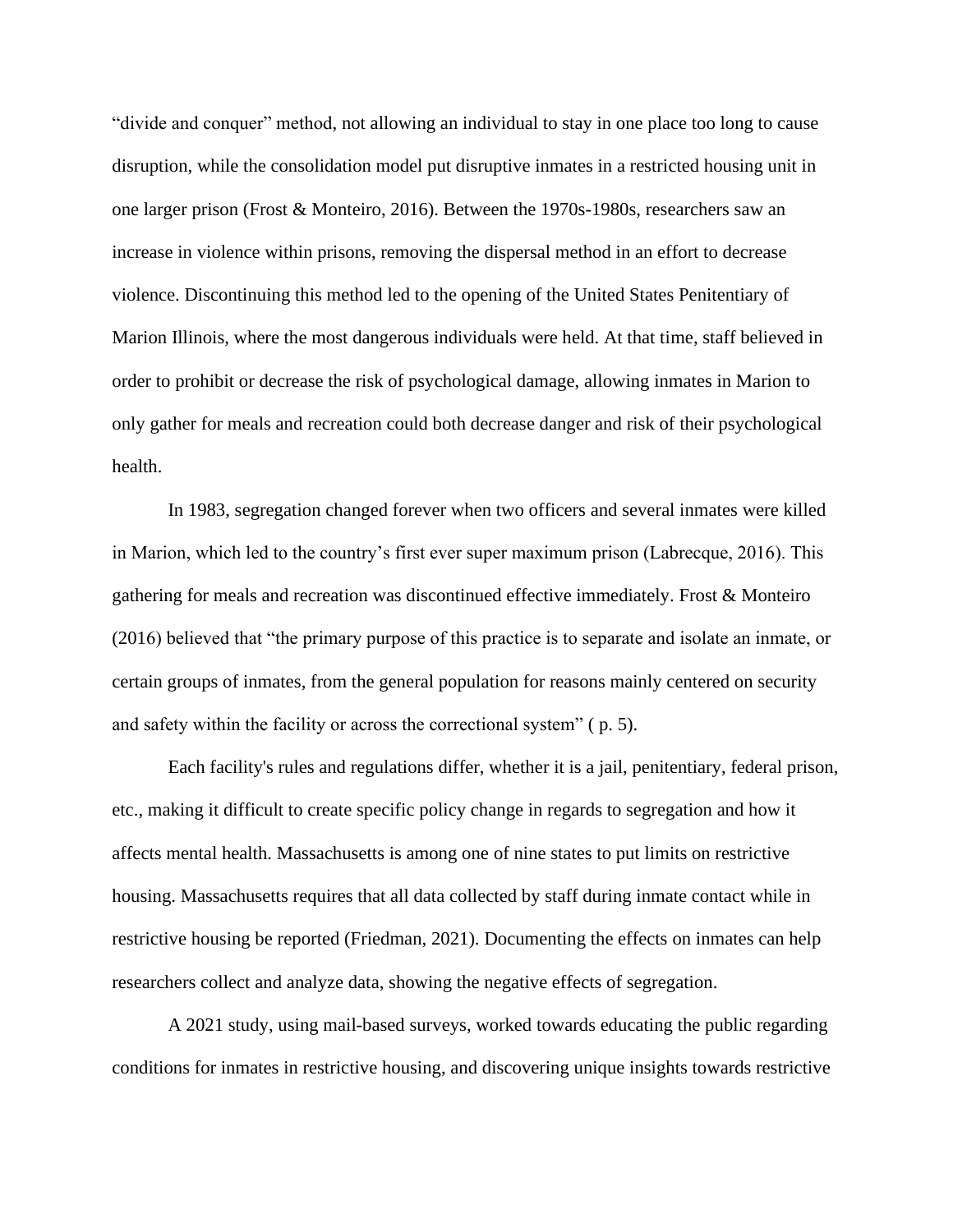"divide and conquer" method, not allowing an individual to stay in one place too long to cause disruption, while the consolidation model put disruptive inmates in a restricted housing unit in one larger prison (Frost & Monteiro, 2016). Between the 1970s-1980s, researchers saw an increase in violence within prisons, removing the dispersal method in an effort to decrease violence. Discontinuing this method led to the opening of the United States Penitentiary of Marion Illinois, where the most dangerous individuals were held. At that time, staff believed in order to prohibit or decrease the risk of psychological damage, allowing inmates in Marion to only gather for meals and recreation could both decrease danger and risk of their psychological health.

In 1983, segregation changed forever when two officers and several inmates were killed in Marion, which led to the country's first ever super maximum prison (Labrecque, 2016). This gathering for meals and recreation was discontinued effective immediately. Frost & Monteiro (2016) believed that "the primary purpose of this practice is to separate and isolate an inmate, or certain groups of inmates, from the general population for reasons mainly centered on security and safety within the facility or across the correctional system" ( p. 5).

Each facility's rules and regulations differ, whether it is a jail, penitentiary, federal prison, etc., making it difficult to create specific policy change in regards to segregation and how it affects mental health. Massachusetts is among one of nine states to put limits on restrictive housing. Massachusetts requires that all data collected by staff during inmate contact while in restrictive housing be reported (Friedman, 2021). Documenting the effects on inmates can help researchers collect and analyze data, showing the negative effects of segregation.

A 2021 study, using mail-based surveys, worked towards educating the public regarding conditions for inmates in restrictive housing, and discovering unique insights towards restrictive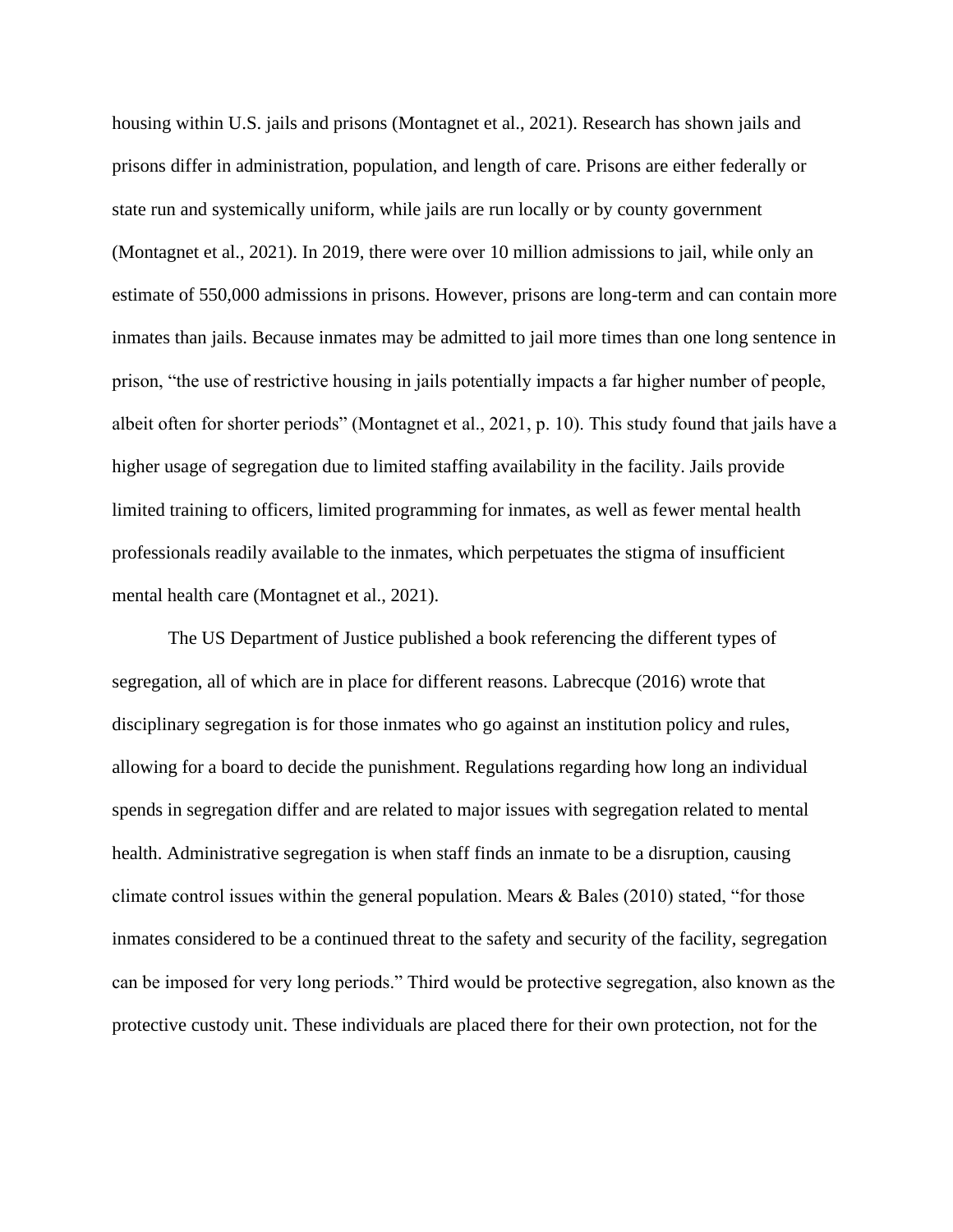housing within U.S. jails and prisons (Montagnet et al., 2021). Research has shown jails and prisons differ in administration, population, and length of care. Prisons are either federally or state run and systemically uniform, while jails are run locally or by county government (Montagnet et al., 2021). In 2019, there were over 10 million admissions to jail, while only an estimate of 550,000 admissions in prisons. However, prisons are long-term and can contain more inmates than jails. Because inmates may be admitted to jail more times than one long sentence in prison, "the use of restrictive housing in jails potentially impacts a far higher number of people, albeit often for shorter periods" (Montagnet et al., 2021, p. 10). This study found that jails have a higher usage of segregation due to limited staffing availability in the facility. Jails provide limited training to officers, limited programming for inmates, as well as fewer mental health professionals readily available to the inmates, which perpetuates the stigma of insufficient mental health care (Montagnet et al., 2021).

The US Department of Justice published a book referencing the different types of segregation, all of which are in place for different reasons. Labrecque (2016) wrote that disciplinary segregation is for those inmates who go against an institution policy and rules, allowing for a board to decide the punishment. Regulations regarding how long an individual spends in segregation differ and are related to major issues with segregation related to mental health. Administrative segregation is when staff finds an inmate to be a disruption, causing climate control issues within the general population. Mears  $\&$  Bales (2010) stated, "for those inmates considered to be a continued threat to the safety and security of the facility, segregation can be imposed for very long periods." Third would be protective segregation, also known as the protective custody unit. These individuals are placed there for their own protection, not for the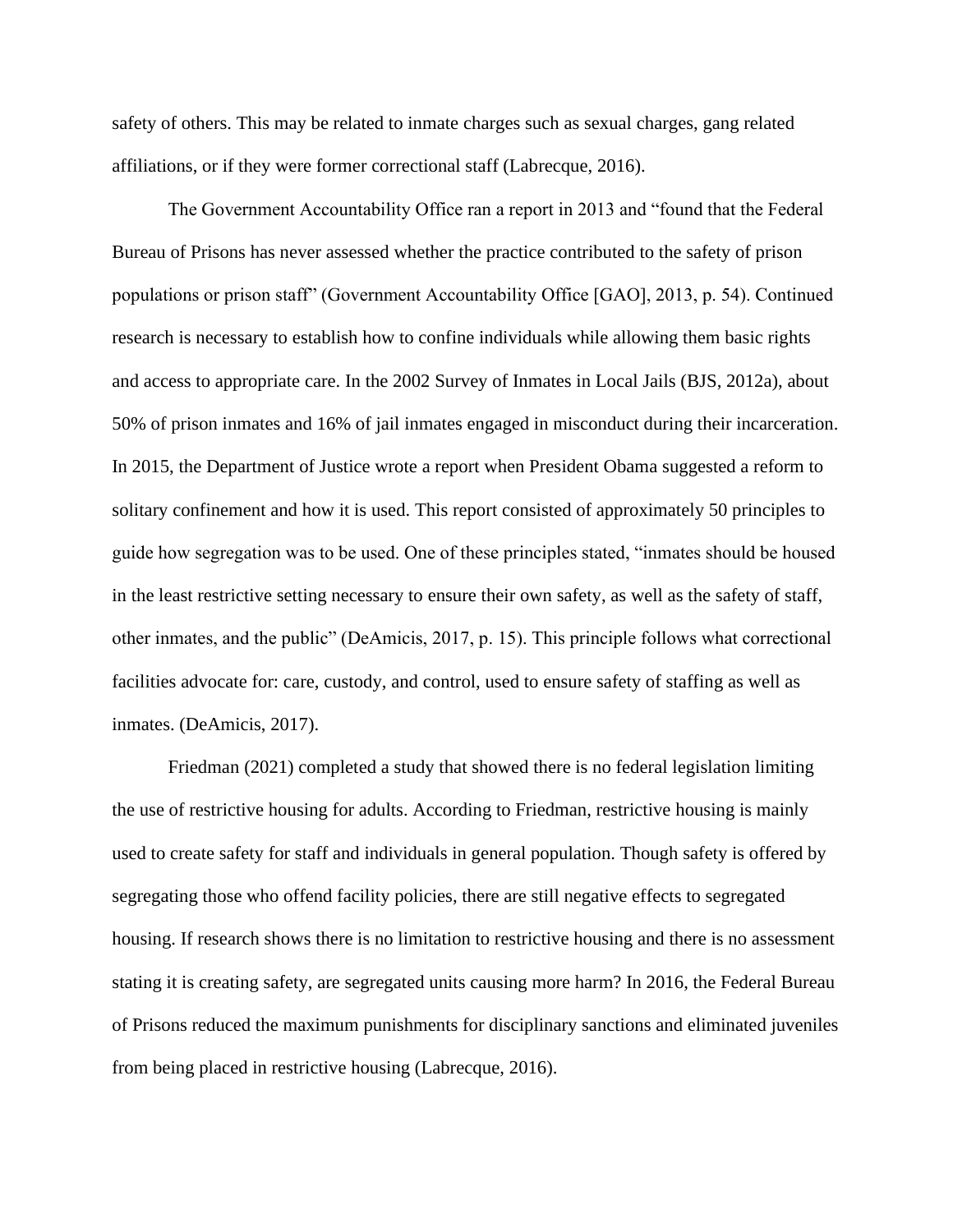safety of others. This may be related to inmate charges such as sexual charges, gang related affiliations, or if they were former correctional staff (Labrecque, 2016).

The Government Accountability Office ran a report in 2013 and "found that the Federal Bureau of Prisons has never assessed whether the practice contributed to the safety of prison populations or prison staff" (Government Accountability Office [GAO], 2013, p. 54). Continued research is necessary to establish how to confine individuals while allowing them basic rights and access to appropriate care. In the 2002 Survey of Inmates in Local Jails (BJS, 2012a), about 50% of prison inmates and 16% of jail inmates engaged in misconduct during their incarceration. In 2015, the Department of Justice wrote a report when President Obama suggested a reform to solitary confinement and how it is used. This report consisted of approximately 50 principles to guide how segregation was to be used. One of these principles stated, "inmates should be housed in the least restrictive setting necessary to ensure their own safety, as well as the safety of staff, other inmates, and the public" (DeAmicis, 2017, p. 15). This principle follows what correctional facilities advocate for: care, custody, and control, used to ensure safety of staffing as well as inmates. (DeAmicis, 2017).

Friedman (2021) completed a study that showed there is no federal legislation limiting the use of restrictive housing for adults. According to Friedman, restrictive housing is mainly used to create safety for staff and individuals in general population. Though safety is offered by segregating those who offend facility policies, there are still negative effects to segregated housing. If research shows there is no limitation to restrictive housing and there is no assessment stating it is creating safety, are segregated units causing more harm? In 2016, the Federal Bureau of Prisons reduced the maximum punishments for disciplinary sanctions and eliminated juveniles from being placed in restrictive housing (Labrecque, 2016).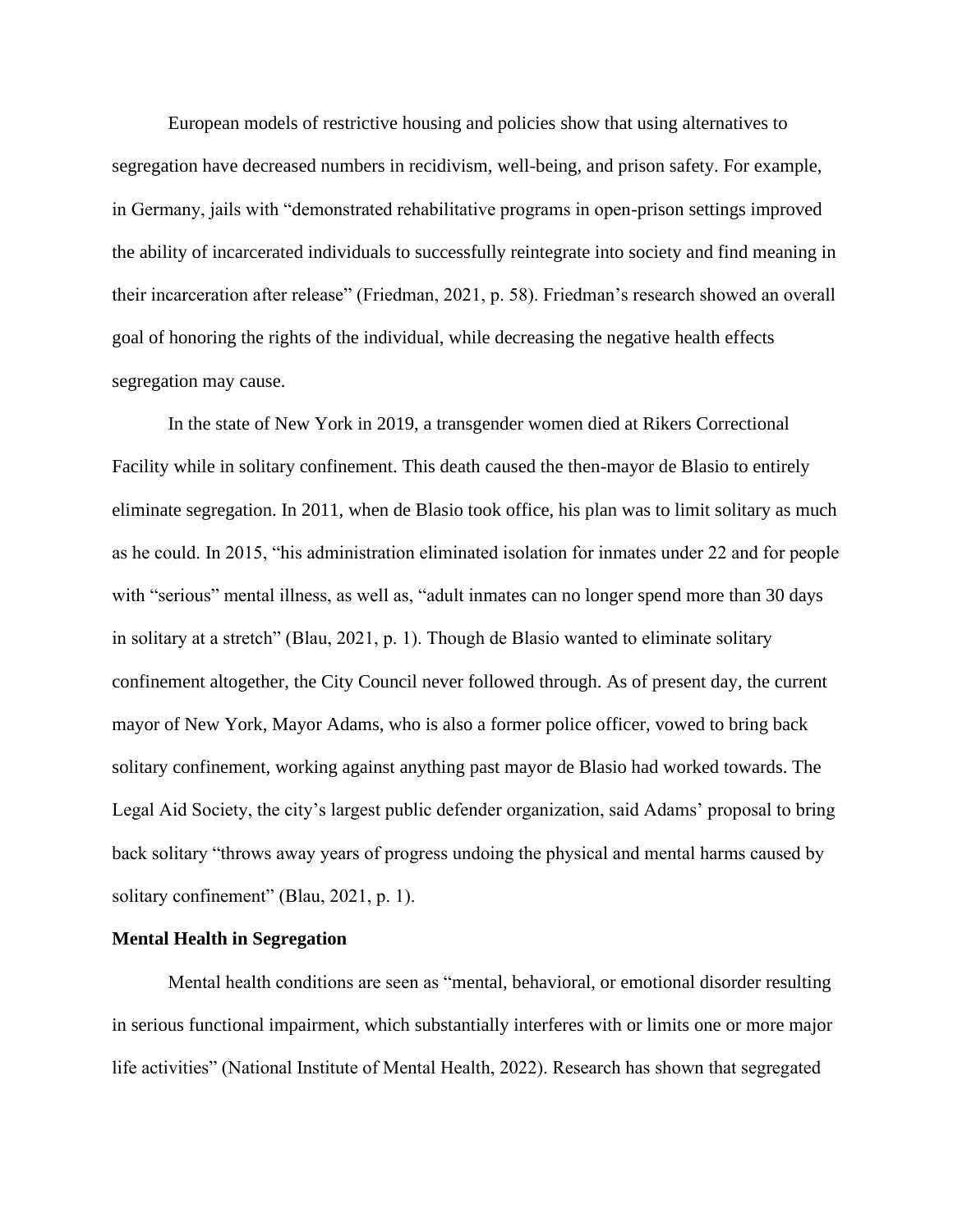European models of restrictive housing and policies show that using alternatives to segregation have decreased numbers in recidivism, well-being, and prison safety. For example, in Germany, jails with "demonstrated rehabilitative programs in open-prison settings improved the ability of incarcerated individuals to successfully reintegrate into society and find meaning in their incarceration after release" (Friedman, 2021, p. 58). Friedman's research showed an overall goal of honoring the rights of the individual, while decreasing the negative health effects segregation may cause.

In the state of New York in 2019, a transgender women died at Rikers Correctional Facility while in solitary confinement. This death caused the then-mayor de Blasio to entirely eliminate segregation. In 2011, when de Blasio took office, his plan was to limit solitary as much as he could. In 2015, "his administration eliminated isolation for inmates under 22 and for people with "serious" mental illness, as well as, "adult inmates can no longer spend more than 30 days in solitary at a stretch" (Blau, 2021, p. 1). Though de Blasio wanted to eliminate solitary confinement altogether, the City Council never followed through. As of present day, the current mayor of New York, Mayor Adams, who is also a former police officer, vowed to bring back solitary confinement, working against anything past mayor de Blasio had worked towards. The Legal Aid Society, the city's largest public defender organization, said Adams' proposal to bring back solitary "throws away years of progress undoing the physical and mental harms caused by solitary confinement" (Blau, 2021, p. 1).

#### **Mental Health in Segregation**

Mental health conditions are seen as "mental, behavioral, or emotional disorder resulting in serious functional impairment, which substantially interferes with or limits one or more major life activities" (National Institute of Mental Health, 2022). Research has shown that segregated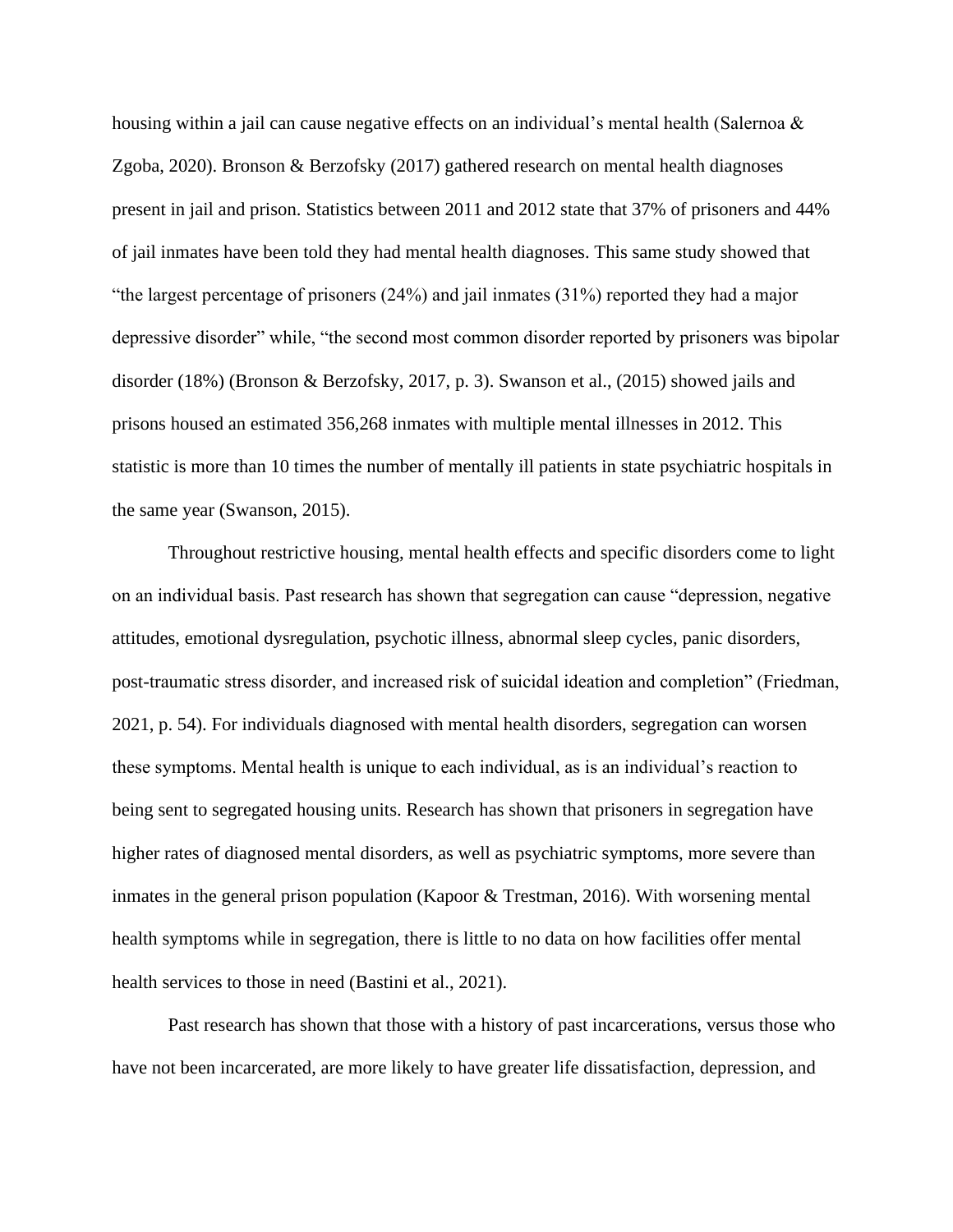housing within a jail can cause negative effects on an individual's mental health (Salernoa & Zgoba, 2020). Bronson & Berzofsky (2017) gathered research on mental health diagnoses present in jail and prison. Statistics between 2011 and 2012 state that 37% of prisoners and 44% of jail inmates have been told they had mental health diagnoses. This same study showed that "the largest percentage of prisoners (24%) and jail inmates (31%) reported they had a major depressive disorder" while, "the second most common disorder reported by prisoners was bipolar disorder (18%) (Bronson & Berzofsky, 2017, p. 3). Swanson et al., (2015) showed jails and prisons housed an estimated 356,268 inmates with multiple mental illnesses in 2012. This statistic is more than 10 times the number of mentally ill patients in state psychiatric hospitals in the same year (Swanson, 2015).

Throughout restrictive housing, mental health effects and specific disorders come to light on an individual basis. Past research has shown that segregation can cause "depression, negative attitudes, emotional dysregulation, psychotic illness, abnormal sleep cycles, panic disorders, post-traumatic stress disorder, and increased risk of suicidal ideation and completion" (Friedman, 2021, p. 54). For individuals diagnosed with mental health disorders, segregation can worsen these symptoms. Mental health is unique to each individual, as is an individual's reaction to being sent to segregated housing units. Research has shown that prisoners in segregation have higher rates of diagnosed mental disorders, as well as psychiatric symptoms, more severe than inmates in the general prison population (Kapoor & Trestman, 2016). With worsening mental health symptoms while in segregation, there is little to no data on how facilities offer mental health services to those in need (Bastini et al., 2021).

Past research has shown that those with a history of past incarcerations, versus those who have not been incarcerated, are more likely to have greater life dissatisfaction, depression, and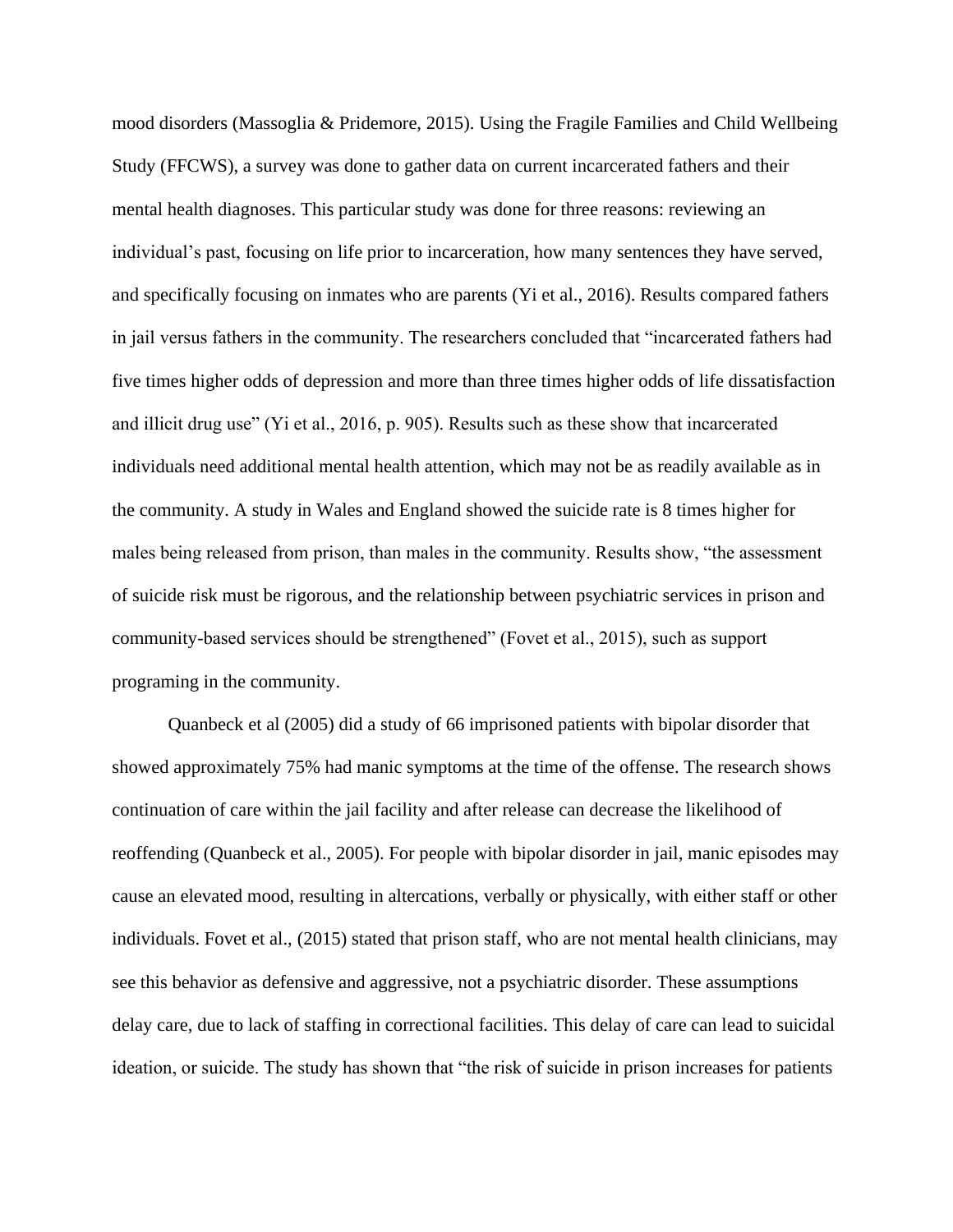mood disorders (Massoglia & Pridemore, 2015). Using the Fragile Families and Child Wellbeing Study (FFCWS), a survey was done to gather data on current incarcerated fathers and their mental health diagnoses. This particular study was done for three reasons: reviewing an individual's past, focusing on life prior to incarceration, how many sentences they have served, and specifically focusing on inmates who are parents (Yi et al., 2016). Results compared fathers in jail versus fathers in the community. The researchers concluded that "incarcerated fathers had five times higher odds of depression and more than three times higher odds of life dissatisfaction and illicit drug use" (Yi et al., 2016, p. 905). Results such as these show that incarcerated individuals need additional mental health attention, which may not be as readily available as in the community. A study in Wales and England showed the suicide rate is 8 times higher for males being released from prison, than males in the community. Results show, "the assessment of suicide risk must be rigorous, and the relationship between psychiatric services in prison and community-based services should be strengthened" (Fovet et al., 2015), such as support programing in the community.

Quanbeck et al (2005) did a study of 66 imprisoned patients with bipolar disorder that showed approximately 75% had manic symptoms at the time of the offense. The research shows continuation of care within the jail facility and after release can decrease the likelihood of reoffending (Quanbeck et al., 2005). For people with bipolar disorder in jail, manic episodes may cause an elevated mood, resulting in altercations, verbally or physically, with either staff or other individuals. Fovet et al., (2015) stated that prison staff, who are not mental health clinicians, may see this behavior as defensive and aggressive, not a psychiatric disorder. These assumptions delay care, due to lack of staffing in correctional facilities. This delay of care can lead to suicidal ideation, or suicide. The study has shown that "the risk of suicide in prison increases for patients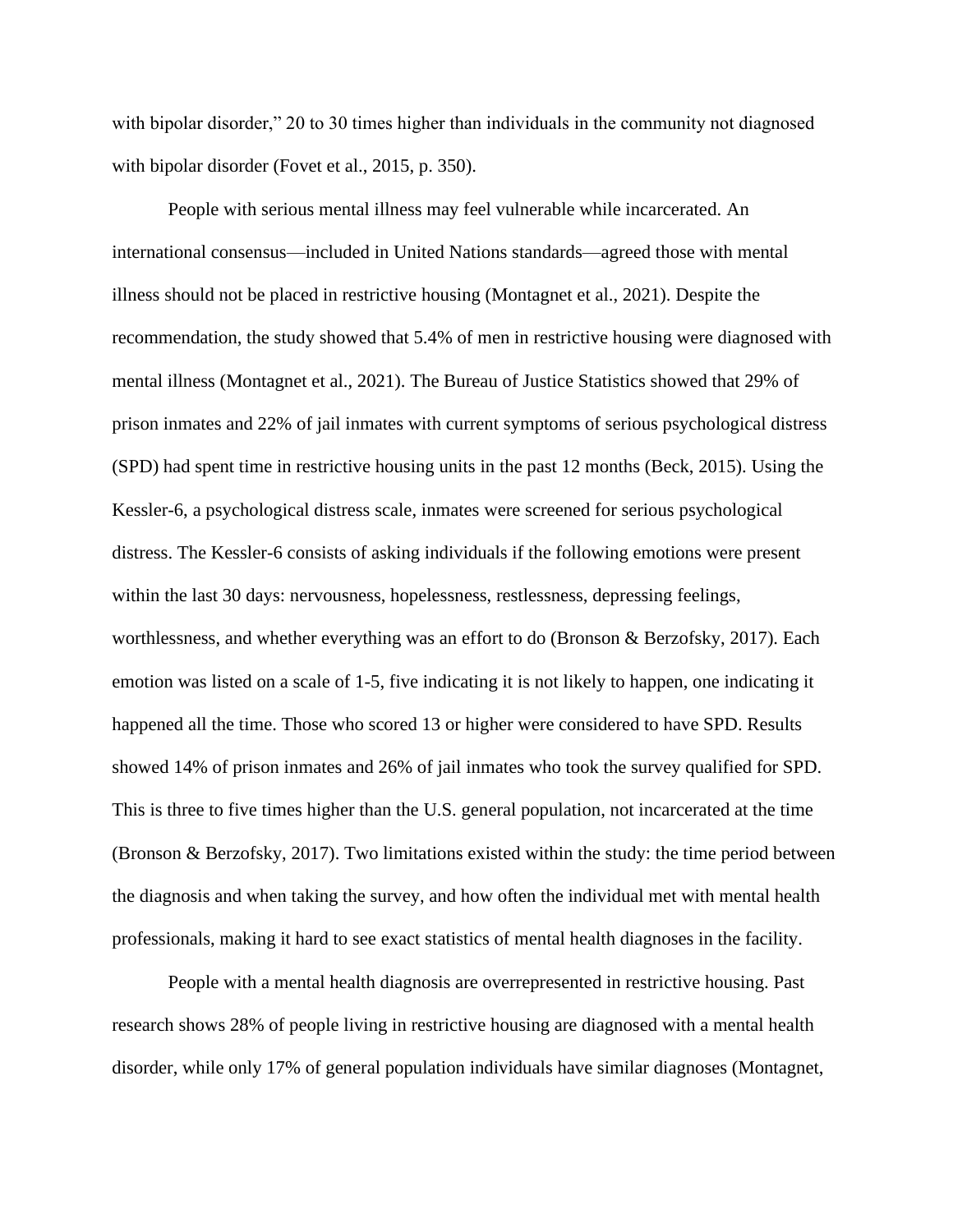with bipolar disorder," 20 to 30 times higher than individuals in the community not diagnosed with bipolar disorder (Fovet et al., 2015, p. 350).

People with serious mental illness may feel vulnerable while incarcerated. An international consensus—included in United Nations standards—agreed those with mental illness should not be placed in restrictive housing (Montagnet et al., 2021). Despite the recommendation, the study showed that 5.4% of men in restrictive housing were diagnosed with mental illness (Montagnet et al., 2021). The Bureau of Justice Statistics showed that 29% of prison inmates and 22% of jail inmates with current symptoms of serious psychological distress (SPD) had spent time in restrictive housing units in the past 12 months (Beck, 2015). Using the Kessler-6, a psychological distress scale, inmates were screened for serious psychological distress. The Kessler-6 consists of asking individuals if the following emotions were present within the last 30 days: nervousness, hopelessness, restlessness, depressing feelings, worthlessness, and whether everything was an effort to do (Bronson & Berzofsky, 2017). Each emotion was listed on a scale of 1-5, five indicating it is not likely to happen, one indicating it happened all the time. Those who scored 13 or higher were considered to have SPD. Results showed 14% of prison inmates and 26% of jail inmates who took the survey qualified for SPD. This is three to five times higher than the U.S. general population, not incarcerated at the time (Bronson & Berzofsky, 2017). Two limitations existed within the study: the time period between the diagnosis and when taking the survey, and how often the individual met with mental health professionals, making it hard to see exact statistics of mental health diagnoses in the facility.

People with a mental health diagnosis are overrepresented in restrictive housing. Past research shows 28% of people living in restrictive housing are diagnosed with a mental health disorder, while only 17% of general population individuals have similar diagnoses (Montagnet,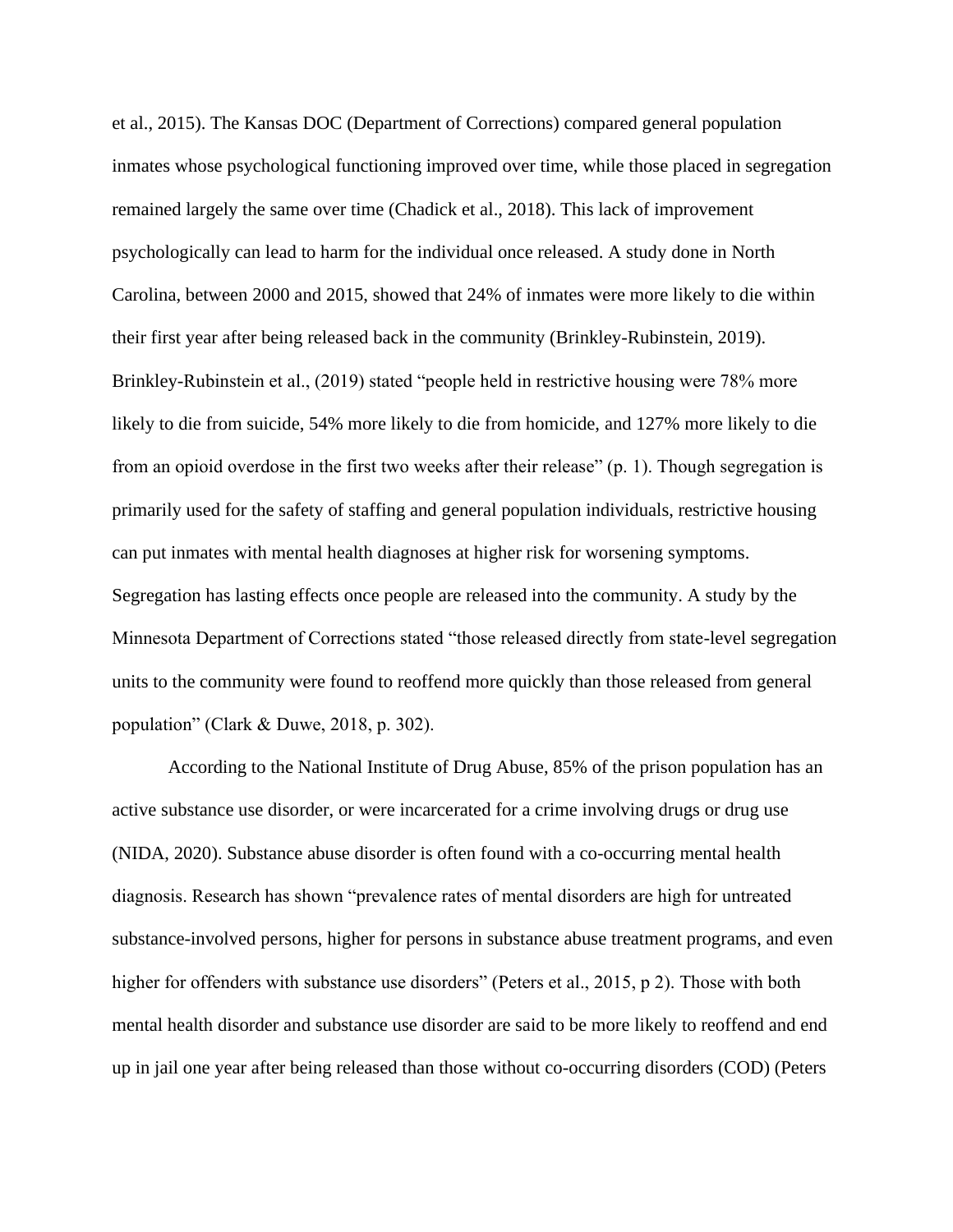et al., 2015). The Kansas DOC (Department of Corrections) compared general population inmates whose psychological functioning improved over time, while those placed in segregation remained largely the same over time (Chadick et al., 2018). This lack of improvement psychologically can lead to harm for the individual once released. A study done in North Carolina, between 2000 and 2015, showed that 24% of inmates were more likely to die within their first year after being released back in the community (Brinkley-Rubinstein, 2019). Brinkley-Rubinstein et al., (2019) stated "people held in restrictive housing were 78% more likely to die from suicide, 54% more likely to die from homicide, and 127% more likely to die from an opioid overdose in the first two weeks after their release" (p. 1). Though segregation is primarily used for the safety of staffing and general population individuals, restrictive housing can put inmates with mental health diagnoses at higher risk for worsening symptoms. Segregation has lasting effects once people are released into the community. A study by the Minnesota Department of Corrections stated "those released directly from state-level segregation units to the community were found to reoffend more quickly than those released from general population" (Clark & Duwe, 2018, p. 302).

According to the National Institute of Drug Abuse, 85% of the prison population has an active substance use disorder, or were incarcerated for a crime involving drugs or drug use (NIDA, 2020). Substance abuse disorder is often found with a co-occurring mental health diagnosis. Research has shown "prevalence rates of mental disorders are high for untreated substance-involved persons, higher for persons in substance abuse treatment programs, and even higher for offenders with substance use disorders" (Peters et al., 2015, p 2). Those with both mental health disorder and substance use disorder are said to be more likely to reoffend and end up in jail one year after being released than those without co-occurring disorders (COD) (Peters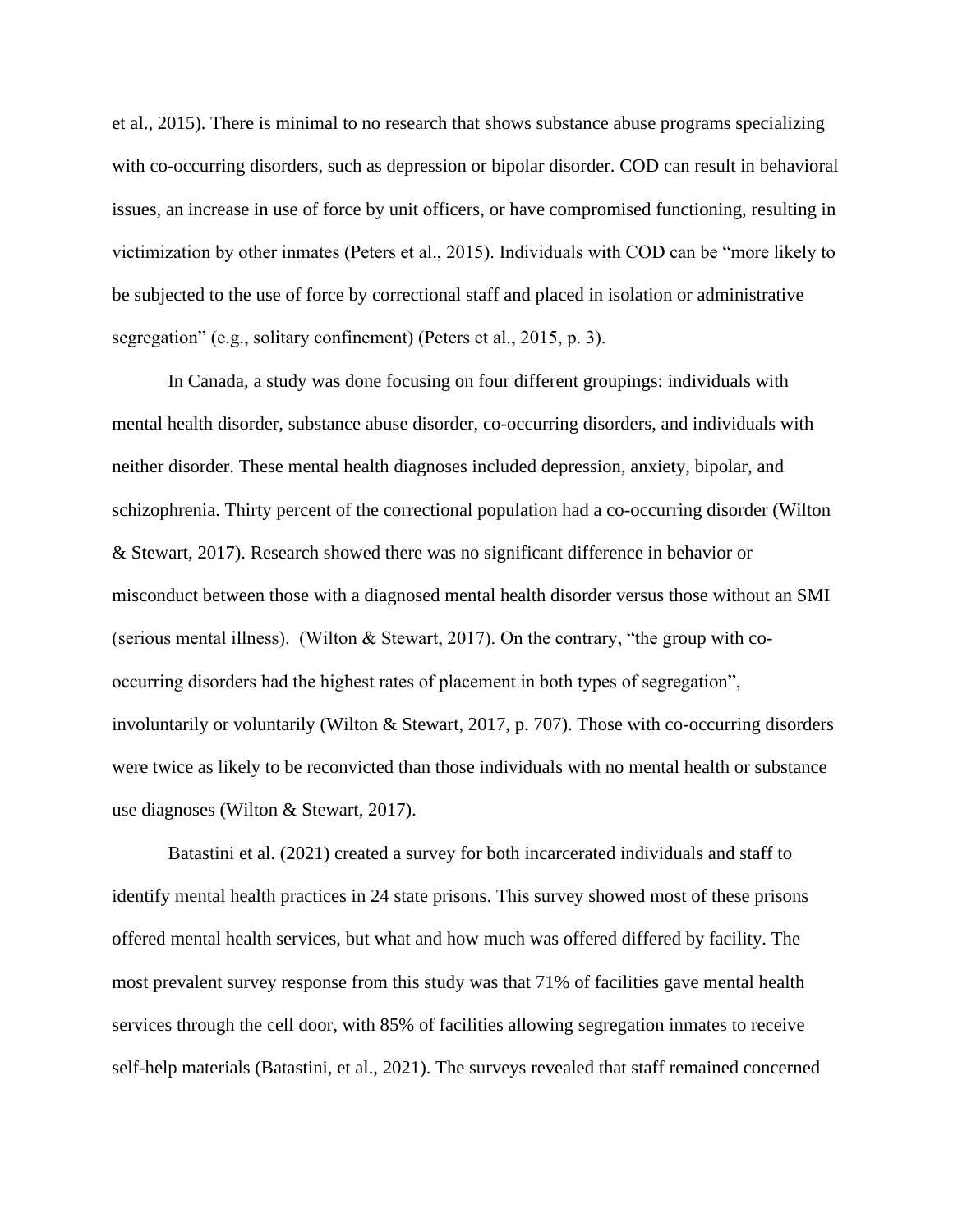et al., 2015). There is minimal to no research that shows substance abuse programs specializing with co-occurring disorders, such as depression or bipolar disorder. COD can result in behavioral issues, an increase in use of force by unit officers, or have compromised functioning, resulting in victimization by other inmates (Peters et al., 2015). Individuals with COD can be "more likely to be subjected to the use of force by correctional staff and placed in isolation or administrative segregation" (e.g., solitary confinement) (Peters et al., 2015, p. 3).

In Canada, a study was done focusing on four different groupings: individuals with mental health disorder, substance abuse disorder, co-occurring disorders, and individuals with neither disorder. These mental health diagnoses included depression, anxiety, bipolar, and schizophrenia. Thirty percent of the correctional population had a co-occurring disorder (Wilton & Stewart, 2017). Research showed there was no significant difference in behavior or misconduct between those with a diagnosed mental health disorder versus those without an SMI (serious mental illness). (Wilton & Stewart, 2017). On the contrary, "the group with cooccurring disorders had the highest rates of placement in both types of segregation", involuntarily or voluntarily (Wilton & Stewart, 2017, p. 707). Those with co-occurring disorders were twice as likely to be reconvicted than those individuals with no mental health or substance use diagnoses (Wilton & Stewart, 2017).

Batastini et al. (2021) created a survey for both incarcerated individuals and staff to identify mental health practices in 24 state prisons. This survey showed most of these prisons offered mental health services, but what and how much was offered differed by facility. The most prevalent survey response from this study was that 71% of facilities gave mental health services through the cell door, with 85% of facilities allowing segregation inmates to receive self-help materials (Batastini, et al., 2021). The surveys revealed that staff remained concerned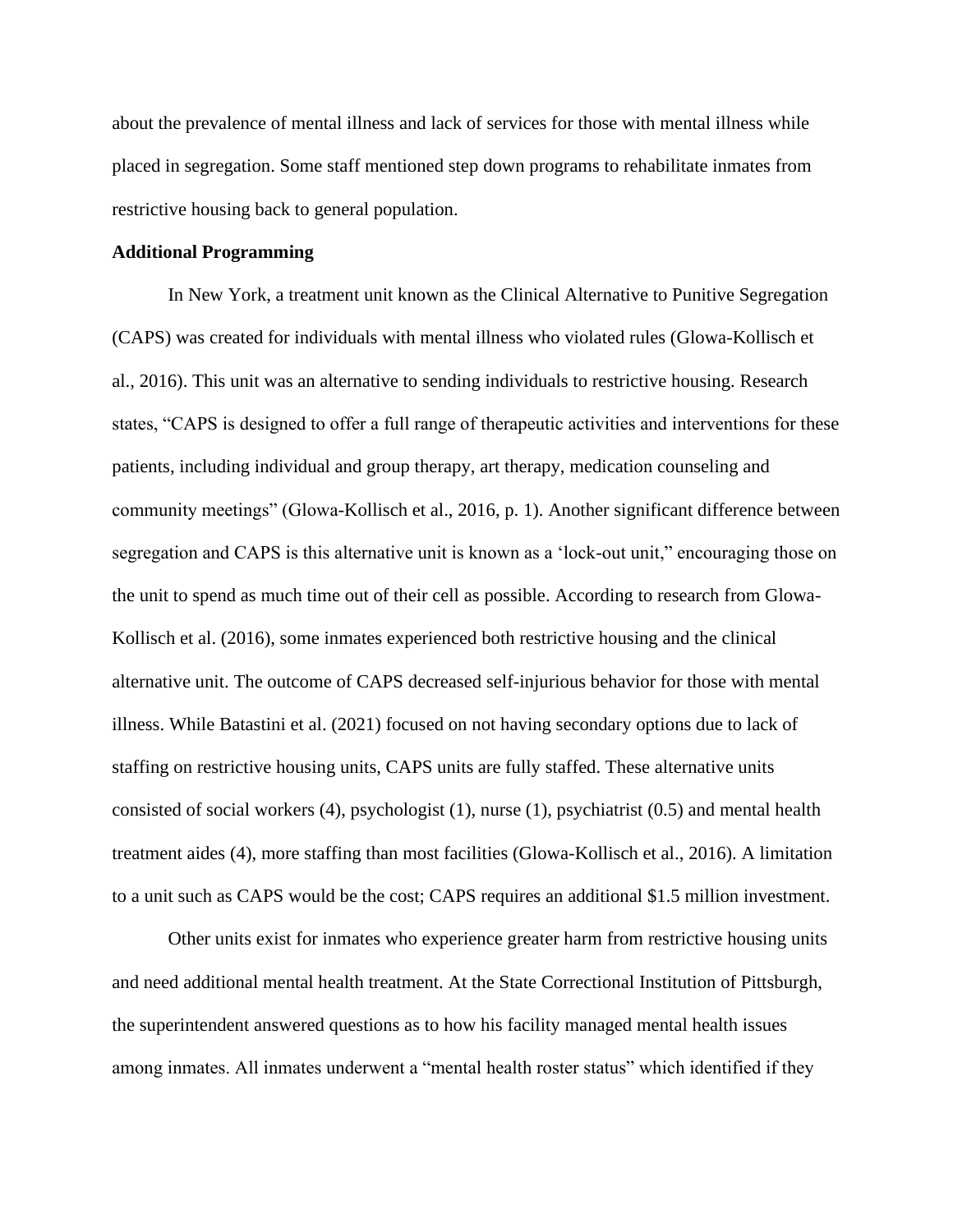about the prevalence of mental illness and lack of services for those with mental illness while placed in segregation. Some staff mentioned step down programs to rehabilitate inmates from restrictive housing back to general population.

#### **Additional Programming**

In New York, a treatment unit known as the Clinical Alternative to Punitive Segregation (CAPS) was created for individuals with mental illness who violated rules (Glowa-Kollisch et al., 2016). This unit was an alternative to sending individuals to restrictive housing. Research states, "CAPS is designed to offer a full range of therapeutic activities and interventions for these patients, including individual and group therapy, art therapy, medication counseling and community meetings" (Glowa-Kollisch et al., 2016, p. 1). Another significant difference between segregation and CAPS is this alternative unit is known as a 'lock-out unit," encouraging those on the unit to spend as much time out of their cell as possible. According to research from Glowa-Kollisch et al. (2016), some inmates experienced both restrictive housing and the clinical alternative unit. The outcome of CAPS decreased self-injurious behavior for those with mental illness. While Batastini et al. (2021) focused on not having secondary options due to lack of staffing on restrictive housing units, CAPS units are fully staffed. These alternative units consisted of social workers (4), psychologist (1), nurse (1), psychiatrist (0.5) and mental health treatment aides (4), more staffing than most facilities (Glowa-Kollisch et al., 2016). A limitation to a unit such as CAPS would be the cost; CAPS requires an additional \$1.5 million investment.

Other units exist for inmates who experience greater harm from restrictive housing units and need additional mental health treatment. At the State Correctional Institution of Pittsburgh, the superintendent answered questions as to how his facility managed mental health issues among inmates. All inmates underwent a "mental health roster status" which identified if they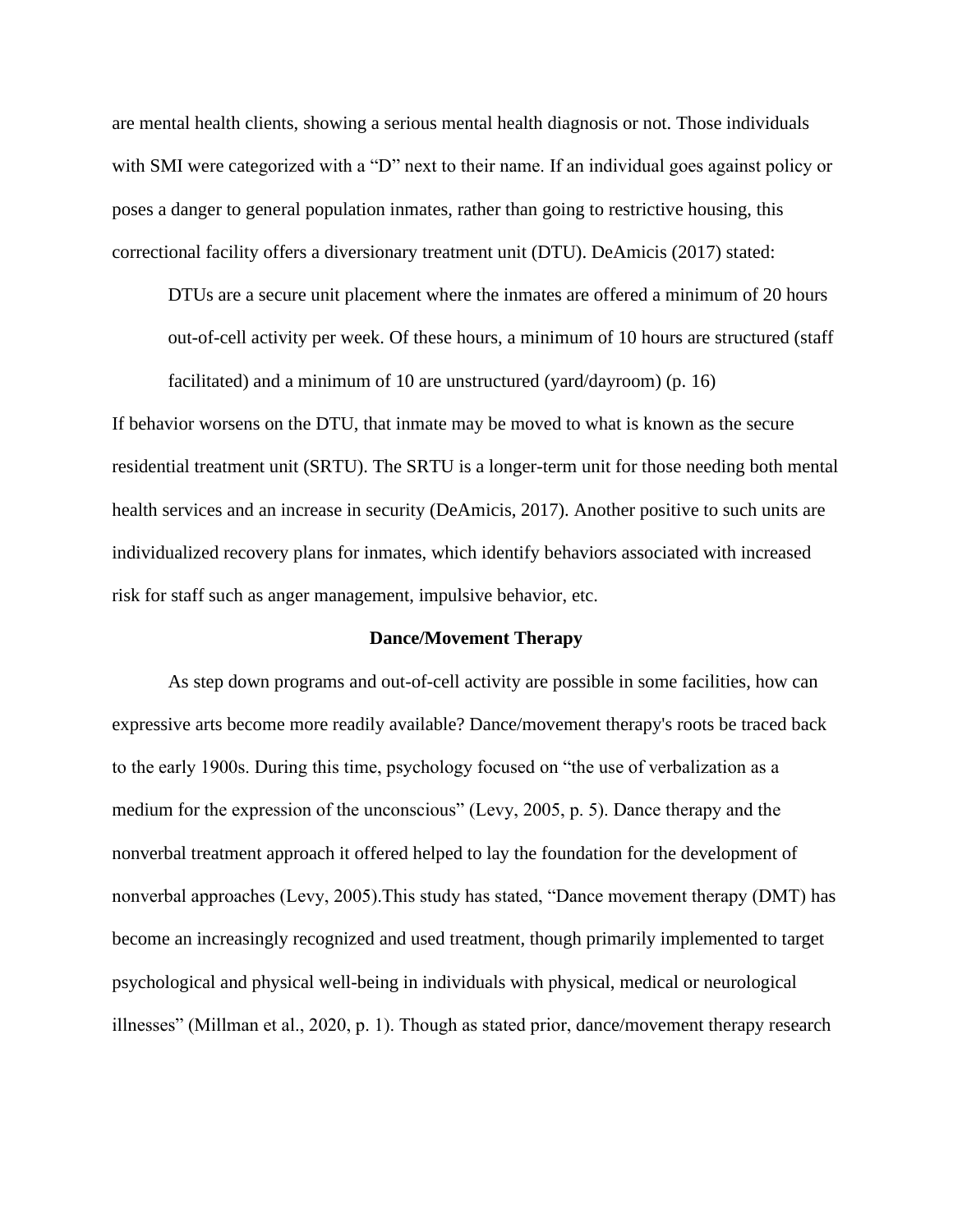are mental health clients, showing a serious mental health diagnosis or not. Those individuals with SMI were categorized with a "D" next to their name. If an individual goes against policy or poses a danger to general population inmates, rather than going to restrictive housing, this correctional facility offers a diversionary treatment unit (DTU). DeAmicis (2017) stated:

DTUs are a secure unit placement where the inmates are offered a minimum of 20 hours out-of-cell activity per week. Of these hours, a minimum of 10 hours are structured (staff facilitated) and a minimum of 10 are unstructured (yard/dayroom) (p. 16)

If behavior worsens on the DTU, that inmate may be moved to what is known as the secure residential treatment unit (SRTU). The SRTU is a longer-term unit for those needing both mental health services and an increase in security (DeAmicis, 2017). Another positive to such units are individualized recovery plans for inmates, which identify behaviors associated with increased risk for staff such as anger management, impulsive behavior, etc.

#### **Dance/Movement Therapy**

As step down programs and out-of-cell activity are possible in some facilities, how can expressive arts become more readily available? Dance/movement therapy's roots be traced back to the early 1900s. During this time, psychology focused on "the use of verbalization as a medium for the expression of the unconscious" (Levy, 2005, p. 5). Dance therapy and the nonverbal treatment approach it offered helped to lay the foundation for the development of nonverbal approaches (Levy, 2005).This study has stated, "Dance movement therapy (DMT) has become an increasingly recognized and used treatment, though primarily implemented to target psychological and physical well-being in individuals with physical, medical or neurological illnesses" (Millman et al., 2020, p. 1). Though as stated prior, dance/movement therapy research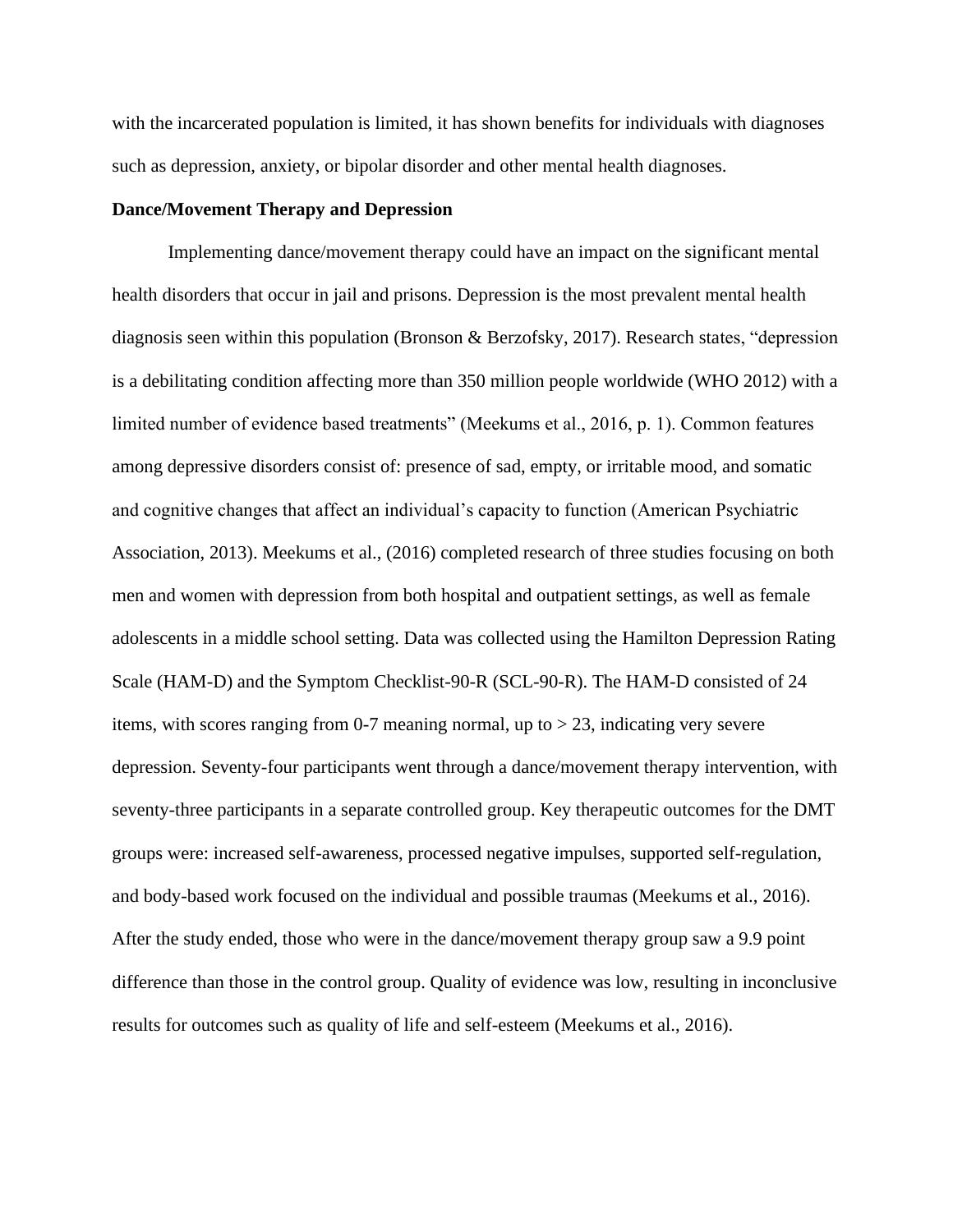with the incarcerated population is limited, it has shown benefits for individuals with diagnoses such as depression, anxiety, or bipolar disorder and other mental health diagnoses.

#### **Dance/Movement Therapy and Depression**

Implementing dance/movement therapy could have an impact on the significant mental health disorders that occur in jail and prisons. Depression is the most prevalent mental health diagnosis seen within this population (Bronson & Berzofsky, 2017). Research states, "depression is a debilitating condition affecting more than 350 million people worldwide (WHO 2012) with a limited number of evidence based treatments" (Meekums et al., 2016, p. 1). Common features among depressive disorders consist of: presence of sad, empty, or irritable mood, and somatic and cognitive changes that affect an individual's capacity to function (American Psychiatric Association, 2013). Meekums et al., (2016) completed research of three studies focusing on both men and women with depression from both hospital and outpatient settings, as well as female adolescents in a middle school setting. Data was collected using the Hamilton Depression Rating Scale (HAM-D) and the Symptom Checklist-90-R (SCL-90-R). The HAM-D consisted of 24 items, with scores ranging from 0-7 meaning normal, up to > 23, indicating very severe depression. Seventy-four participants went through a dance/movement therapy intervention, with seventy-three participants in a separate controlled group. Key therapeutic outcomes for the DMT groups were: increased self-awareness, processed negative impulses, supported self-regulation, and body-based work focused on the individual and possible traumas (Meekums et al., 2016). After the study ended, those who were in the dance/movement therapy group saw a 9.9 point difference than those in the control group. Quality of evidence was low, resulting in inconclusive results for outcomes such as quality of life and self-esteem (Meekums et al., 2016).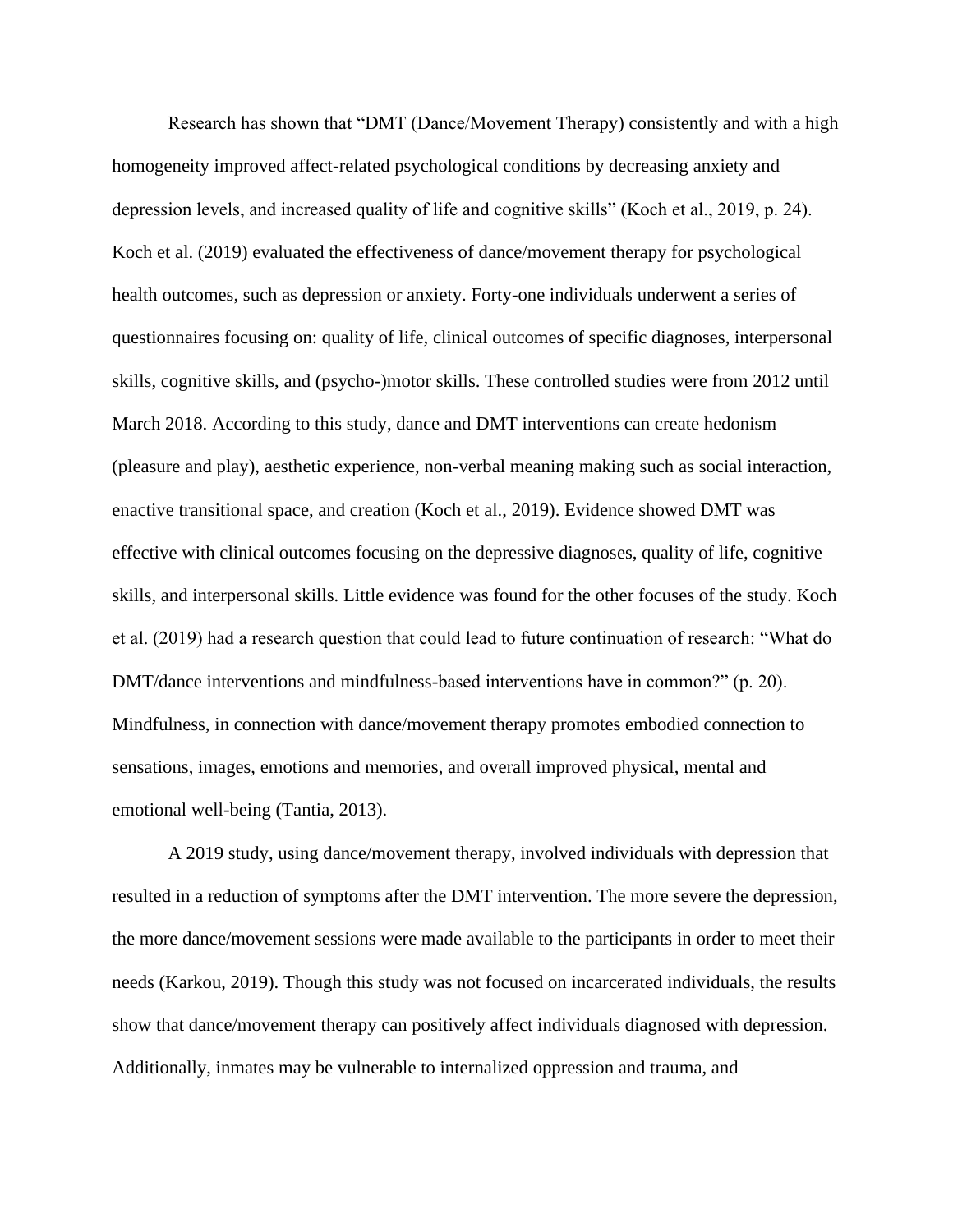Research has shown that "DMT (Dance/Movement Therapy) consistently and with a high homogeneity improved affect-related psychological conditions by decreasing anxiety and depression levels, and increased quality of life and cognitive skills" (Koch et al., 2019, p. 24). Koch et al. (2019) evaluated the effectiveness of dance/movement therapy for psychological health outcomes, such as depression or anxiety. Forty-one individuals underwent a series of questionnaires focusing on: quality of life, clinical outcomes of specific diagnoses, interpersonal skills, cognitive skills, and (psycho-)motor skills. These controlled studies were from 2012 until March 2018. According to this study, dance and DMT interventions can create hedonism (pleasure and play), aesthetic experience, non-verbal meaning making such as social interaction, enactive transitional space, and creation (Koch et al., 2019). Evidence showed DMT was effective with clinical outcomes focusing on the depressive diagnoses, quality of life, cognitive skills, and interpersonal skills. Little evidence was found for the other focuses of the study. Koch et al. (2019) had a research question that could lead to future continuation of research: "What do DMT/dance interventions and mindfulness-based interventions have in common?" (p. 20). Mindfulness, in connection with dance/movement therapy promotes embodied connection to sensations, images, emotions and memories, and overall improved physical, mental and emotional well-being (Tantia, 2013).

A 2019 study, using dance/movement therapy, involved individuals with depression that resulted in a reduction of symptoms after the DMT intervention. The more severe the depression, the more dance/movement sessions were made available to the participants in order to meet their needs (Karkou, 2019). Though this study was not focused on incarcerated individuals, the results show that dance/movement therapy can positively affect individuals diagnosed with depression. Additionally, inmates may be vulnerable to internalized oppression and trauma, and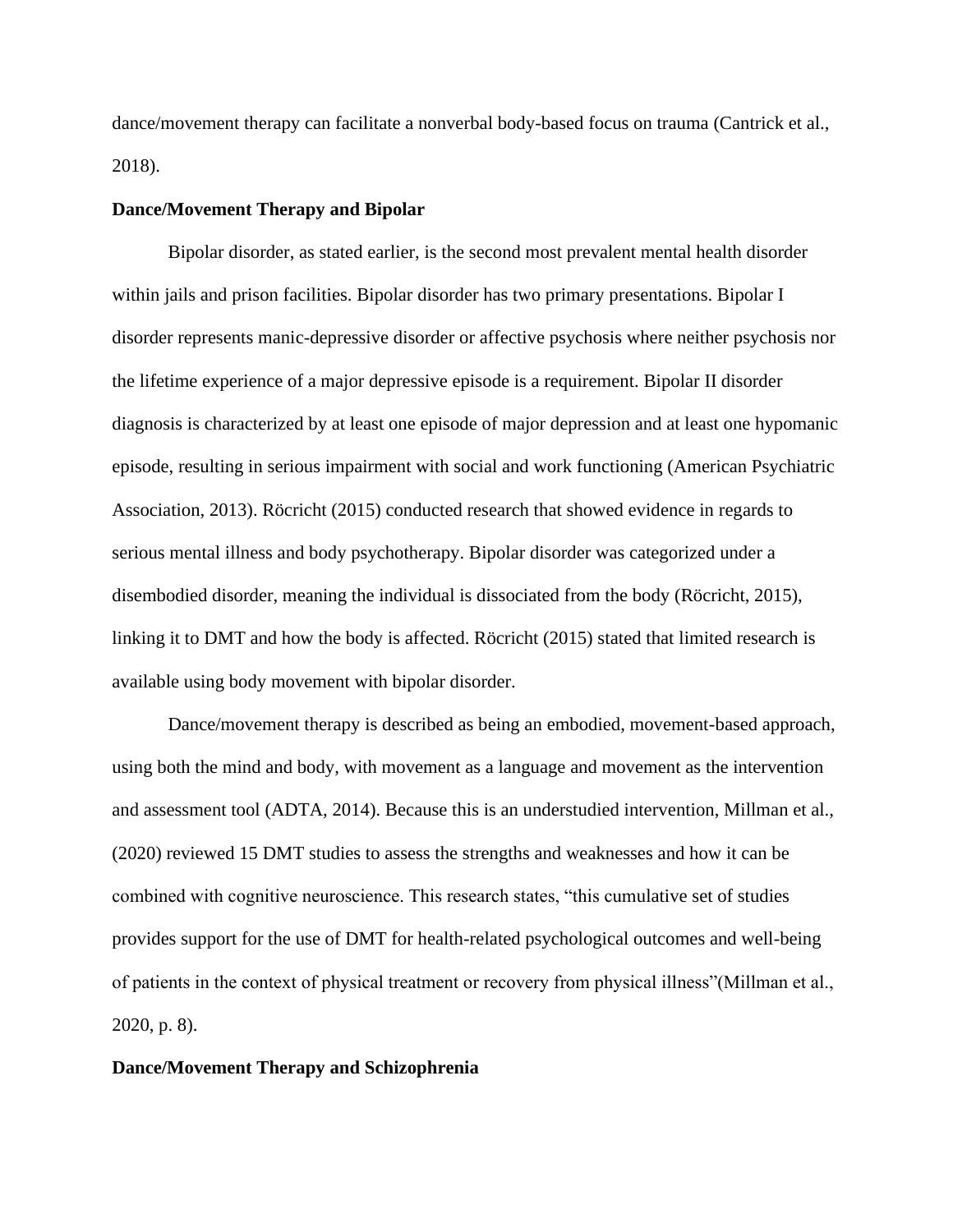dance/movement therapy can facilitate a nonverbal body-based focus on trauma (Cantrick et al., 2018).

#### **Dance/Movement Therapy and Bipolar**

Bipolar disorder, as stated earlier, is the second most prevalent mental health disorder within jails and prison facilities. Bipolar disorder has two primary presentations. Bipolar I disorder represents manic-depressive disorder or affective psychosis where neither psychosis nor the lifetime experience of a major depressive episode is a requirement. Bipolar II disorder diagnosis is characterized by at least one episode of major depression and at least one hypomanic episode, resulting in serious impairment with social and work functioning (American Psychiatric Association, 2013). Röcricht (2015) conducted research that showed evidence in regards to serious mental illness and body psychotherapy. Bipolar disorder was categorized under a disembodied disorder, meaning the individual is dissociated from the body (Röcricht, 2015), linking it to DMT and how the body is affected. Röcricht (2015) stated that limited research is available using body movement with bipolar disorder.

Dance/movement therapy is described as being an embodied, movement-based approach, using both the mind and body, with movement as a language and movement as the intervention and assessment tool (ADTA, 2014). Because this is an understudied intervention, Millman et al., (2020) reviewed 15 DMT studies to assess the strengths and weaknesses and how it can be combined with cognitive neuroscience. This research states, "this cumulative set of studies provides support for the use of DMT for health-related psychological outcomes and well-being of patients in the context of physical treatment or recovery from physical illness"(Millman et al., 2020, p. 8).

#### **Dance/Movement Therapy and Schizophrenia**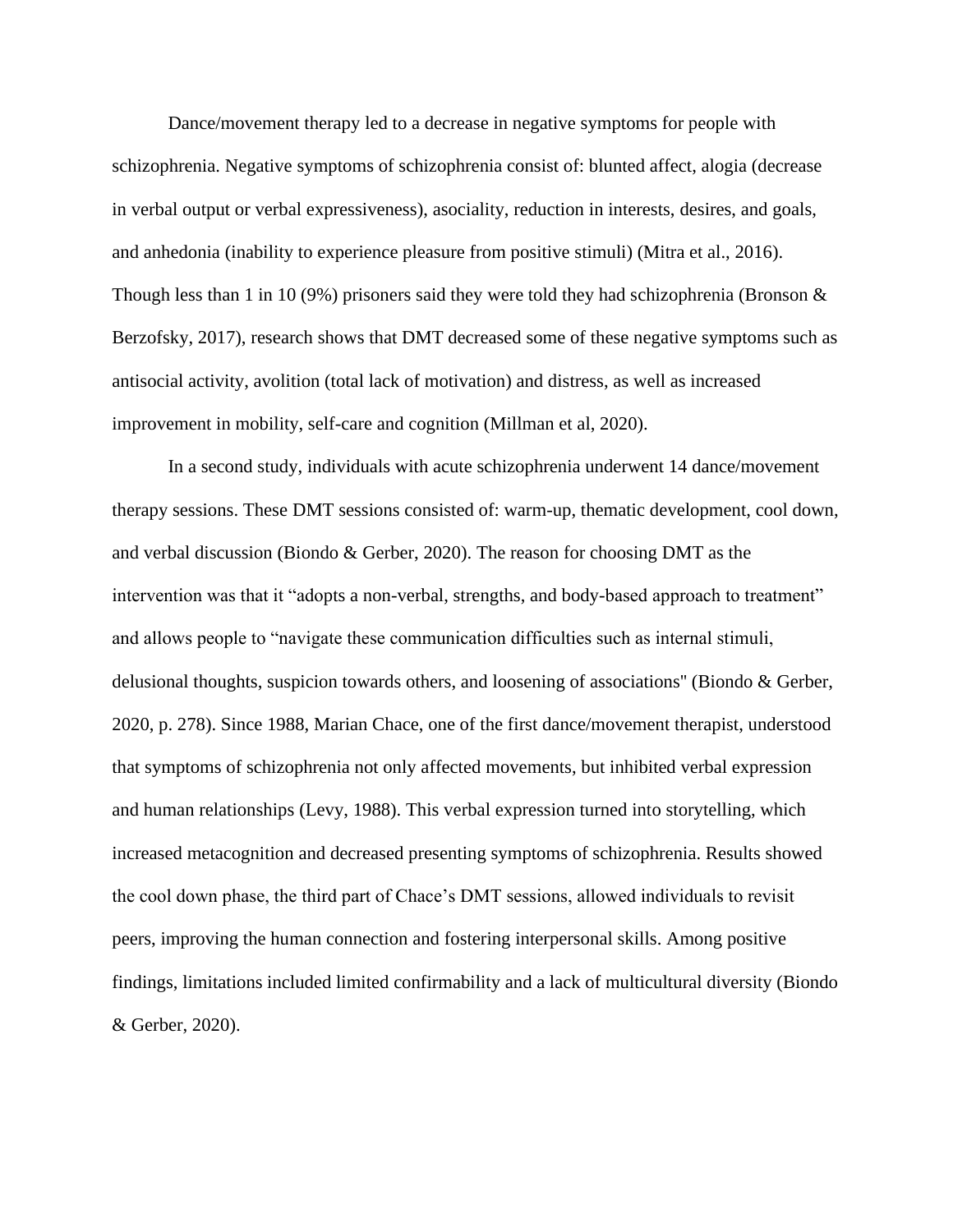Dance/movement therapy led to a decrease in negative symptoms for people with schizophrenia. Negative symptoms of schizophrenia consist of: blunted affect, alogia (decrease in verbal output or verbal expressiveness), asociality, reduction in interests, desires, and goals, and anhedonia (inability to experience pleasure from positive stimuli) (Mitra et al., 2016). Though less than 1 in 10 (9%) prisoners said they were told they had schizophrenia (Bronson  $\&$ Berzofsky, 2017), research shows that DMT decreased some of these negative symptoms such as antisocial activity, avolition (total lack of motivation) and distress, as well as increased improvement in mobility, self-care and cognition (Millman et al, 2020).

In a second study, individuals with acute schizophrenia underwent 14 dance/movement therapy sessions. These DMT sessions consisted of: warm-up, thematic development, cool down, and verbal discussion (Biondo & Gerber, 2020). The reason for choosing DMT as the intervention was that it "adopts a non-verbal, strengths, and body-based approach to treatment" and allows people to "navigate these communication difficulties such as internal stimuli, delusional thoughts, suspicion towards others, and loosening of associations'' (Biondo & Gerber, 2020, p. 278). Since 1988, Marian Chace, one of the first dance/movement therapist, understood that symptoms of schizophrenia not only affected movements, but inhibited verbal expression and human relationships (Levy, 1988). This verbal expression turned into storytelling, which increased metacognition and decreased presenting symptoms of schizophrenia. Results showed the cool down phase, the third part of Chace's DMT sessions, allowed individuals to revisit peers, improving the human connection and fostering interpersonal skills. Among positive findings, limitations included limited confirmability and a lack of multicultural diversity (Biondo & Gerber, 2020).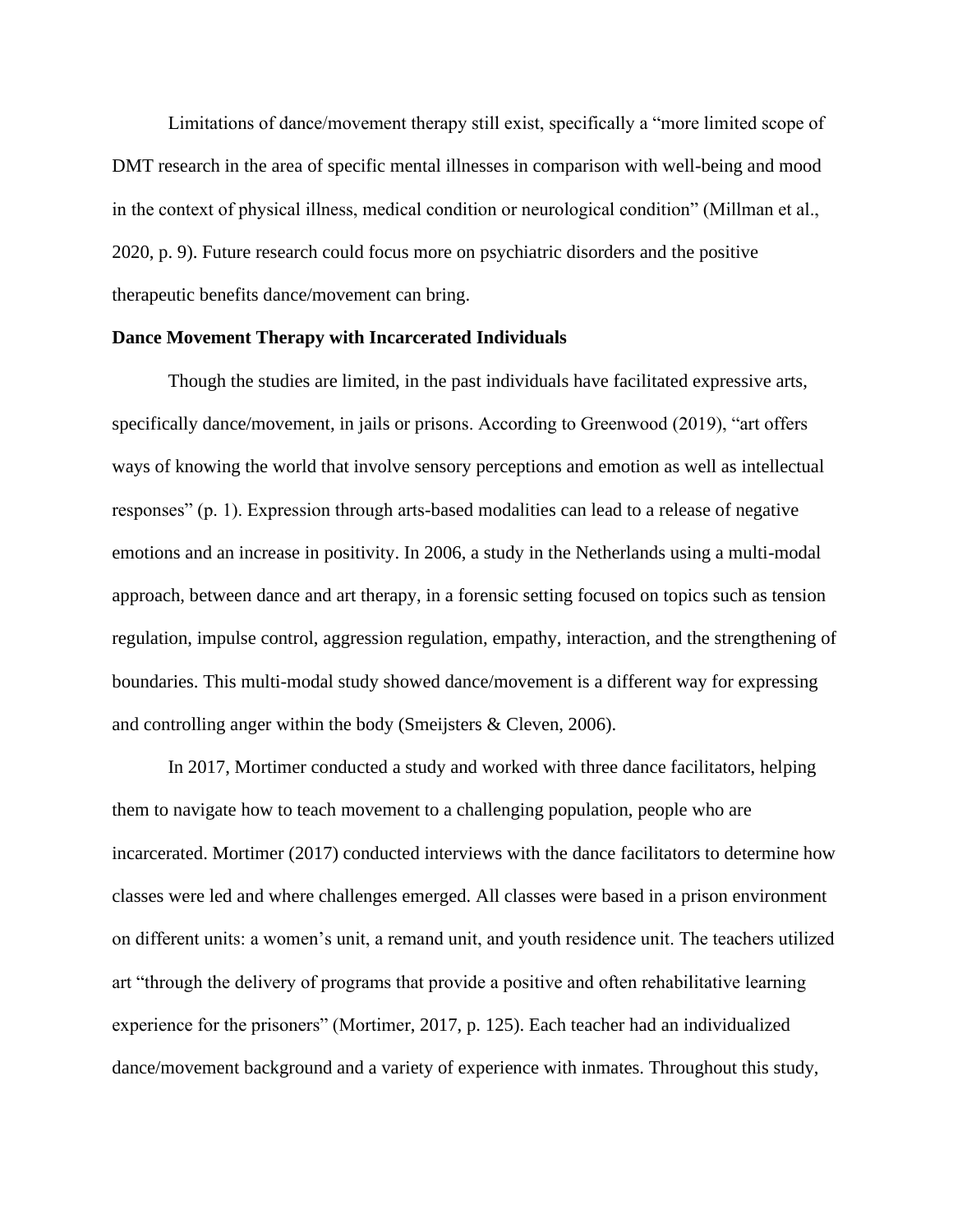Limitations of dance/movement therapy still exist, specifically a "more limited scope of DMT research in the area of specific mental illnesses in comparison with well-being and mood in the context of physical illness, medical condition or neurological condition" (Millman et al., 2020, p. 9). Future research could focus more on psychiatric disorders and the positive therapeutic benefits dance/movement can bring.

#### **Dance Movement Therapy with Incarcerated Individuals**

Though the studies are limited, in the past individuals have facilitated expressive arts, specifically dance/movement, in jails or prisons. According to Greenwood (2019), "art offers ways of knowing the world that involve sensory perceptions and emotion as well as intellectual responses" (p. 1). Expression through arts-based modalities can lead to a release of negative emotions and an increase in positivity. In 2006, a study in the Netherlands using a multi-modal approach, between dance and art therapy, in a forensic setting focused on topics such as tension regulation, impulse control, aggression regulation, empathy, interaction, and the strengthening of boundaries. This multi-modal study showed dance/movement is a different way for expressing and controlling anger within the body (Smeijsters & Cleven, 2006).

In 2017, Mortimer conducted a study and worked with three dance facilitators, helping them to navigate how to teach movement to a challenging population, people who are incarcerated. Mortimer (2017) conducted interviews with the dance facilitators to determine how classes were led and where challenges emerged. All classes were based in a prison environment on different units: a women's unit, a remand unit, and youth residence unit. The teachers utilized art "through the delivery of programs that provide a positive and often rehabilitative learning experience for the prisoners" (Mortimer, 2017, p. 125). Each teacher had an individualized dance/movement background and a variety of experience with inmates. Throughout this study,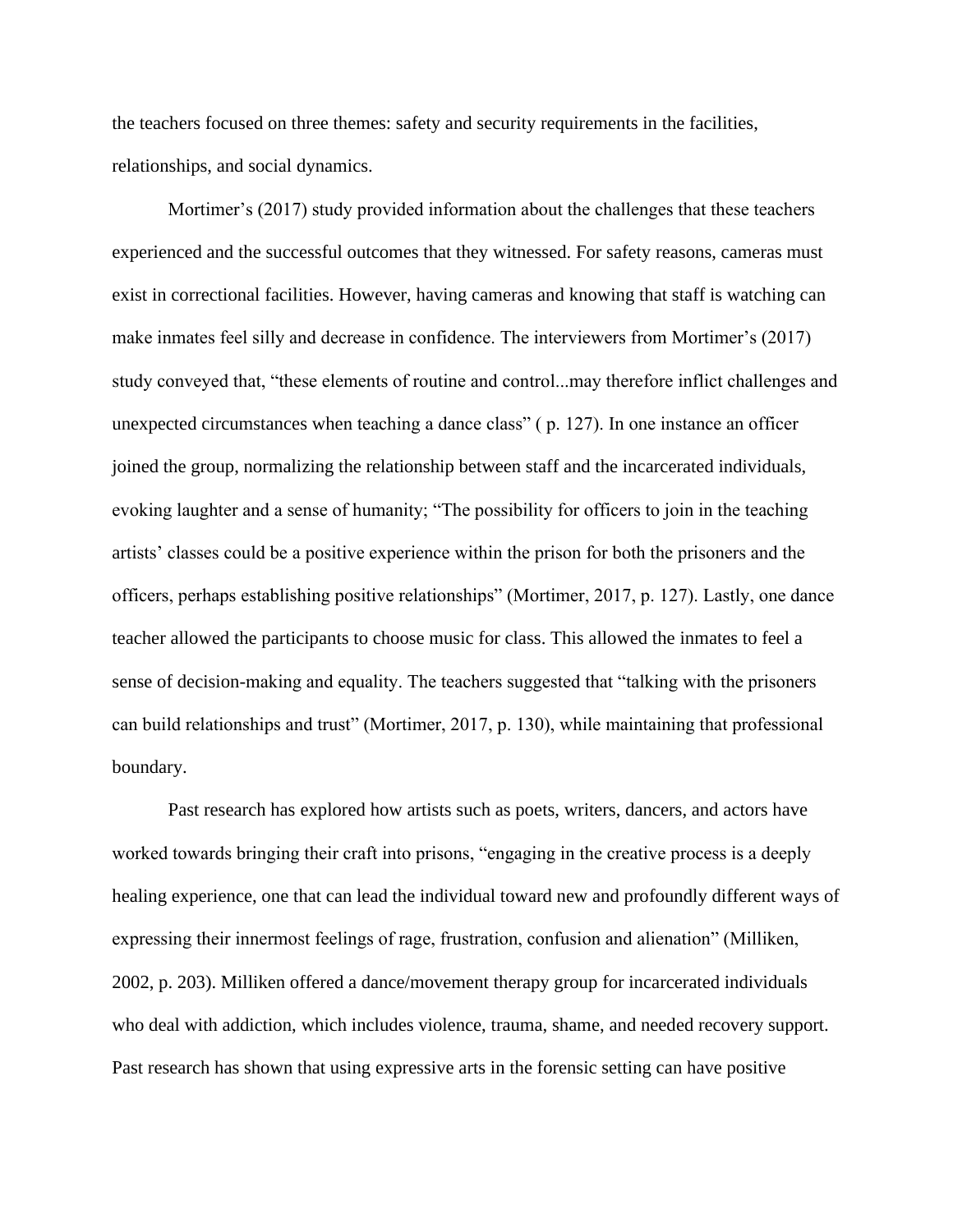the teachers focused on three themes: safety and security requirements in the facilities, relationships, and social dynamics.

Mortimer's (2017) study provided information about the challenges that these teachers experienced and the successful outcomes that they witnessed. For safety reasons, cameras must exist in correctional facilities. However, having cameras and knowing that staff is watching can make inmates feel silly and decrease in confidence. The interviewers from Mortimer's (2017) study conveyed that, "these elements of routine and control...may therefore inflict challenges and unexpected circumstances when teaching a dance class" ( p. 127). In one instance an officer joined the group, normalizing the relationship between staff and the incarcerated individuals, evoking laughter and a sense of humanity; "The possibility for officers to join in the teaching artists' classes could be a positive experience within the prison for both the prisoners and the officers, perhaps establishing positive relationships" (Mortimer, 2017, p. 127). Lastly, one dance teacher allowed the participants to choose music for class. This allowed the inmates to feel a sense of decision-making and equality. The teachers suggested that "talking with the prisoners can build relationships and trust" (Mortimer, 2017, p. 130), while maintaining that professional boundary.

Past research has explored how artists such as poets, writers, dancers, and actors have worked towards bringing their craft into prisons, "engaging in the creative process is a deeply healing experience, one that can lead the individual toward new and profoundly different ways of expressing their innermost feelings of rage, frustration, confusion and alienation" (Milliken, 2002, p. 203). Milliken offered a dance/movement therapy group for incarcerated individuals who deal with addiction, which includes violence, trauma, shame, and needed recovery support. Past research has shown that using expressive arts in the forensic setting can have positive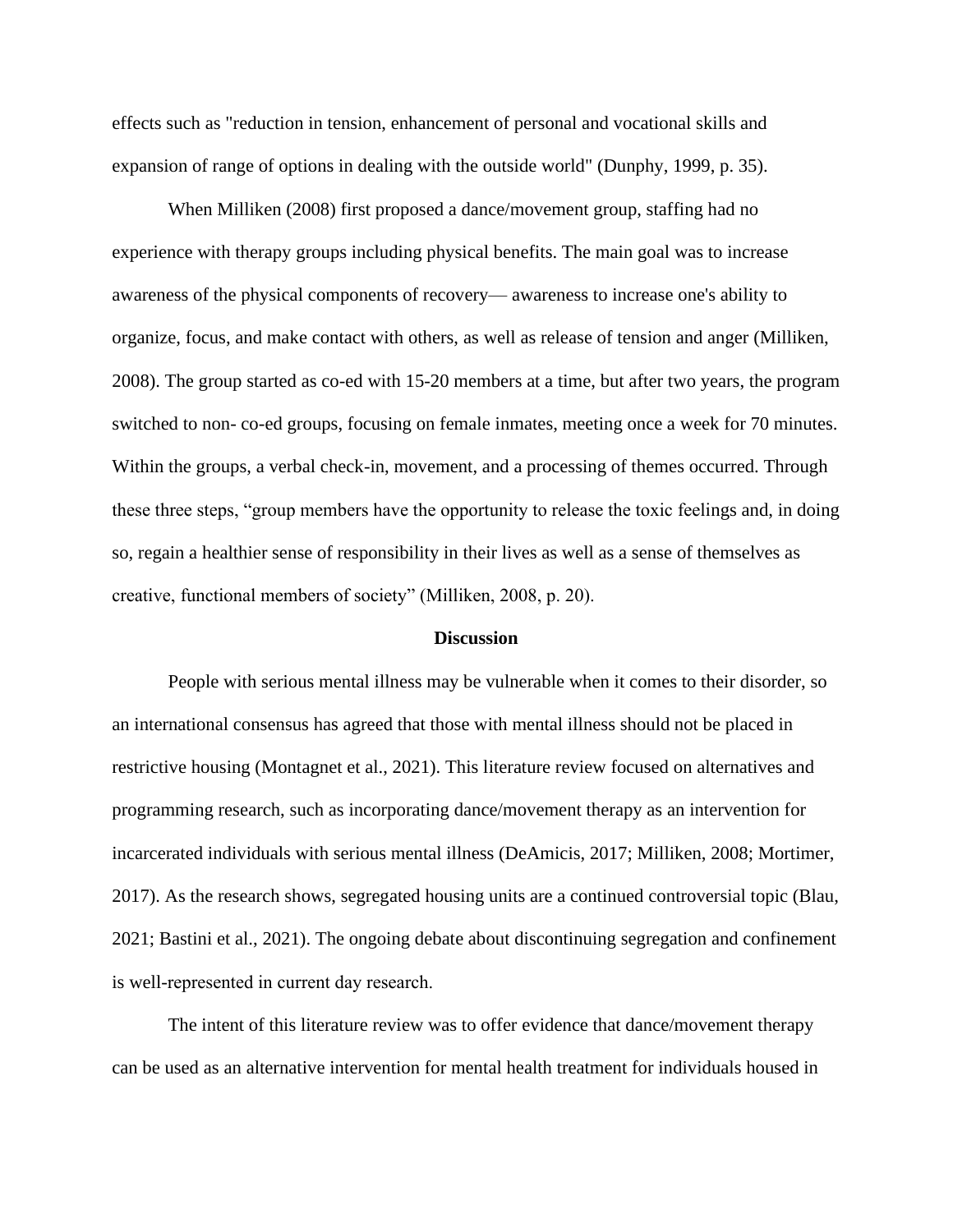effects such as "reduction in tension, enhancement of personal and vocational skills and expansion of range of options in dealing with the outside world" (Dunphy, 1999, p. 35).

When Milliken (2008) first proposed a dance/movement group, staffing had no experience with therapy groups including physical benefits. The main goal was to increase awareness of the physical components of recovery— awareness to increase one's ability to organize, focus, and make contact with others, as well as release of tension and anger (Milliken, 2008). The group started as co-ed with 15-20 members at a time, but after two years, the program switched to non- co-ed groups, focusing on female inmates, meeting once a week for 70 minutes. Within the groups, a verbal check-in, movement, and a processing of themes occurred. Through these three steps, "group members have the opportunity to release the toxic feelings and, in doing so, regain a healthier sense of responsibility in their lives as well as a sense of themselves as creative, functional members of society" (Milliken, 2008, p. 20).

#### **Discussion**

People with serious mental illness may be vulnerable when it comes to their disorder, so an international consensus has agreed that those with mental illness should not be placed in restrictive housing (Montagnet et al., 2021). This literature review focused on alternatives and programming research, such as incorporating dance/movement therapy as an intervention for incarcerated individuals with serious mental illness (DeAmicis, 2017; Milliken, 2008; Mortimer, 2017). As the research shows, segregated housing units are a continued controversial topic (Blau, 2021; Bastini et al., 2021). The ongoing debate about discontinuing segregation and confinement is well-represented in current day research. 

The intent of this literature review was to offer evidence that dance/movement therapy can be used as an alternative intervention for mental health treatment for individuals housed in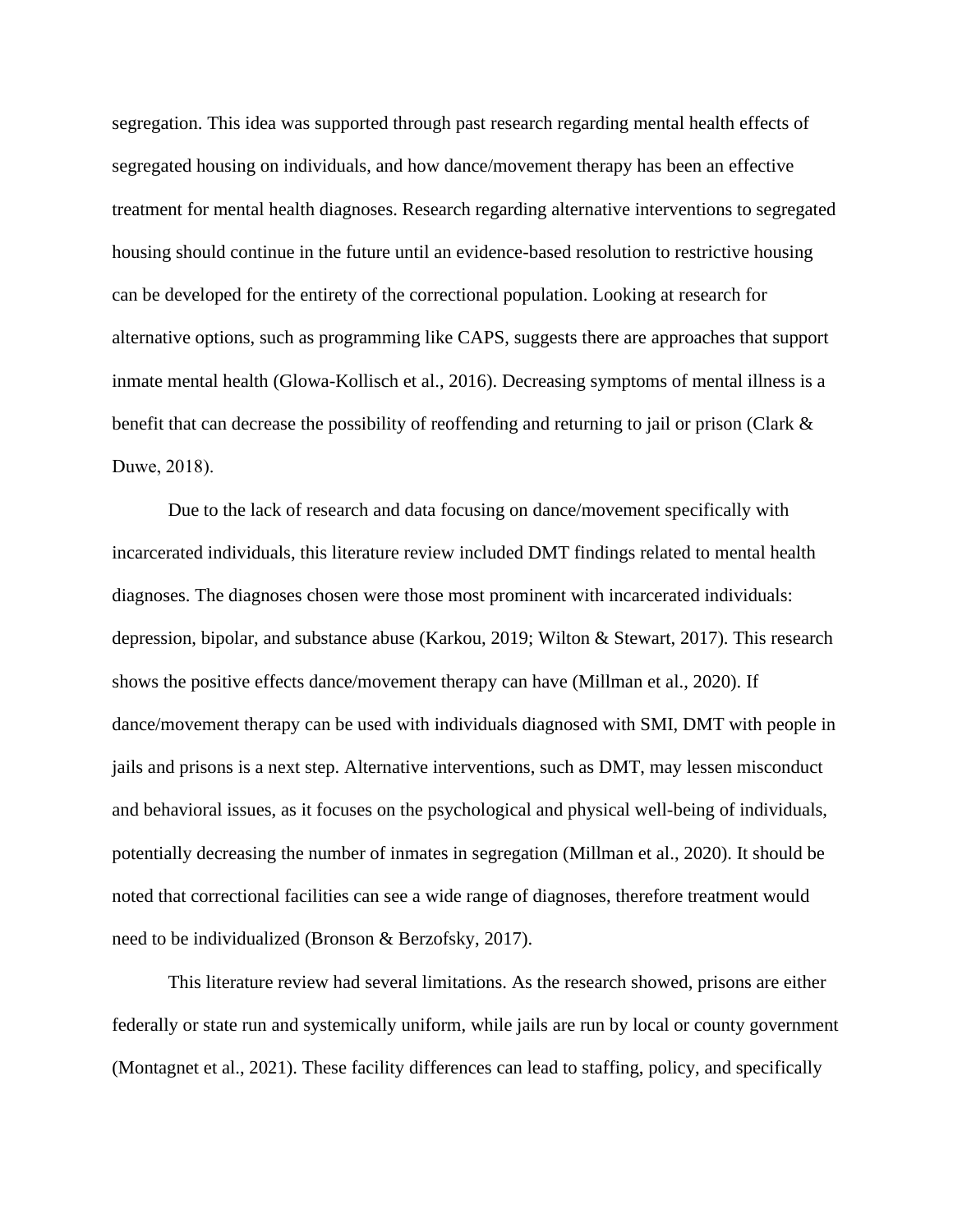segregation. This idea was supported through past research regarding mental health effects of segregated housing on individuals, and how dance/movement therapy has been an effective treatment for mental health diagnoses. Research regarding alternative interventions to segregated housing should continue in the future until an evidence-based resolution to restrictive housing can be developed for the entirety of the correctional population. Looking at research for alternative options, such as programming like CAPS, suggests there are approaches that support inmate mental health (Glowa-Kollisch et al., 2016). Decreasing symptoms of mental illness is a benefit that can decrease the possibility of reoffending and returning to jail or prison (Clark & Duwe, 2018).  

Due to the lack of research and data focusing on dance/movement specifically with incarcerated individuals, this literature review included DMT findings related to mental health diagnoses. The diagnoses chosen were those most prominent with incarcerated individuals: depression, bipolar, and substance abuse (Karkou, 2019; Wilton & Stewart, 2017). This research shows the positive effects dance/movement therapy can have (Millman et al., 2020). If dance/movement therapy can be used with individuals diagnosed with SMI, DMT with people in jails and prisons is a next step. Alternative interventions, such as DMT, may lessen misconduct and behavioral issues, as it focuses on the psychological and physical well-being of individuals, potentially decreasing the number of inmates in segregation (Millman et al., 2020). It should be noted that correctional facilities can see a wide range of diagnoses, therefore treatment would need to be individualized (Bronson & Berzofsky, 2017).

This literature review had several limitations. As the research showed, prisons are either federally or state run and systemically uniform, while jails are run by local or county government (Montagnet et al., 2021). These facility differences can lead to staffing, policy, and specifically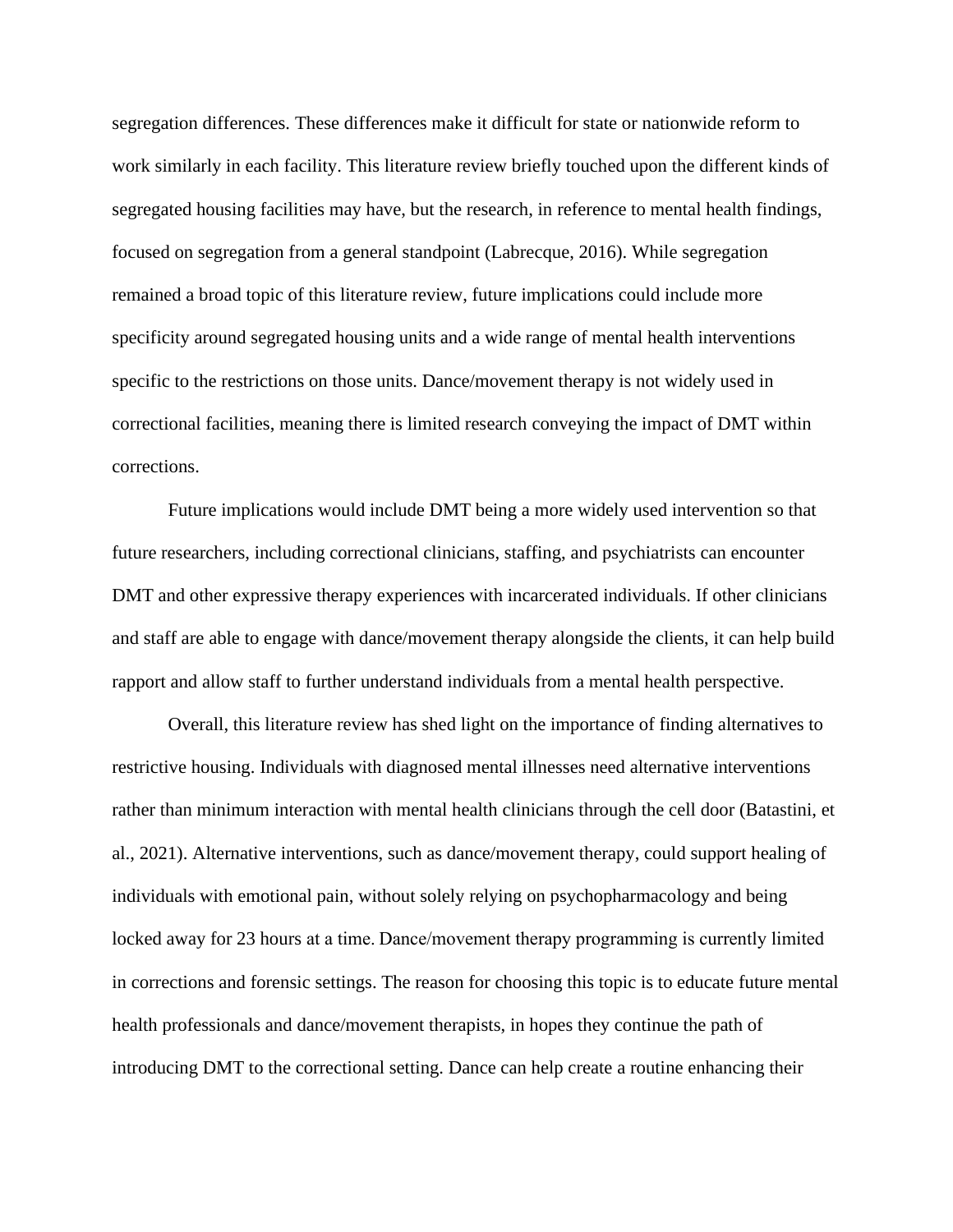segregation differences. These differences make it difficult for state or nationwide reform to work similarly in each facility. This literature review briefly touched upon the different kinds of segregated housing facilities may have, but the research, in reference to mental health findings, focused on segregation from a general standpoint (Labrecque, 2016). While segregation remained a broad topic of this literature review, future implications could include more specificity around segregated housing units and a wide range of mental health interventions specific to the restrictions on those units. Dance/movement therapy is not widely used in correctional facilities, meaning there is limited research conveying the impact of DMT within corrections.

Future implications would include DMT being a more widely used intervention so that future researchers, including correctional clinicians, staffing, and psychiatrists can encounter DMT and other expressive therapy experiences with incarcerated individuals. If other clinicians and staff are able to engage with dance/movement therapy alongside the clients, it can help build rapport and allow staff to further understand individuals from a mental health perspective.

Overall, this literature review has shed light on the importance of finding alternatives to restrictive housing. Individuals with diagnosed mental illnesses need alternative interventions rather than minimum interaction with mental health clinicians through the cell door (Batastini, et al., 2021). Alternative interventions, such as dance/movement therapy, could support healing of individuals with emotional pain, without solely relying on psychopharmacology and being locked away for 23 hours at a time. Dance/movement therapy programming is currently limited in corrections and forensic settings. The reason for choosing this topic is to educate future mental health professionals and dance/movement therapists, in hopes they continue the path of introducing DMT to the correctional setting. Dance can help create a routine enhancing their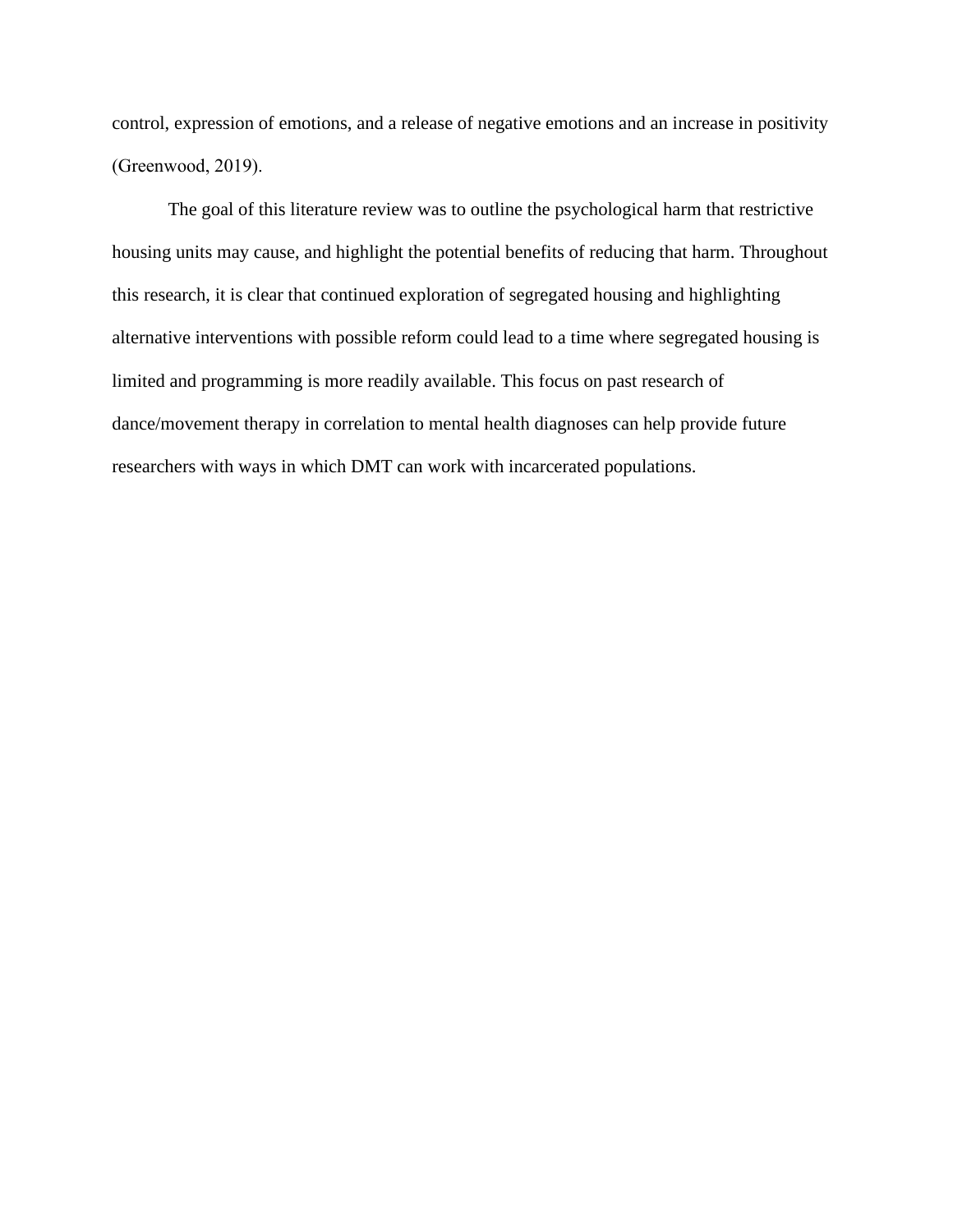control, expression of emotions, and a release of negative emotions and an increase in positivity (Greenwood, 2019). 

The goal of this literature review was to outline the psychological harm that restrictive housing units may cause, and highlight the potential benefits of reducing that harm. Throughout this research, it is clear that continued exploration of segregated housing and highlighting alternative interventions with possible reform could lead to a time where segregated housing is limited and programming is more readily available. This focus on past research of dance/movement therapy in correlation to mental health diagnoses can help provide future researchers with ways in which DMT can work with incarcerated populations.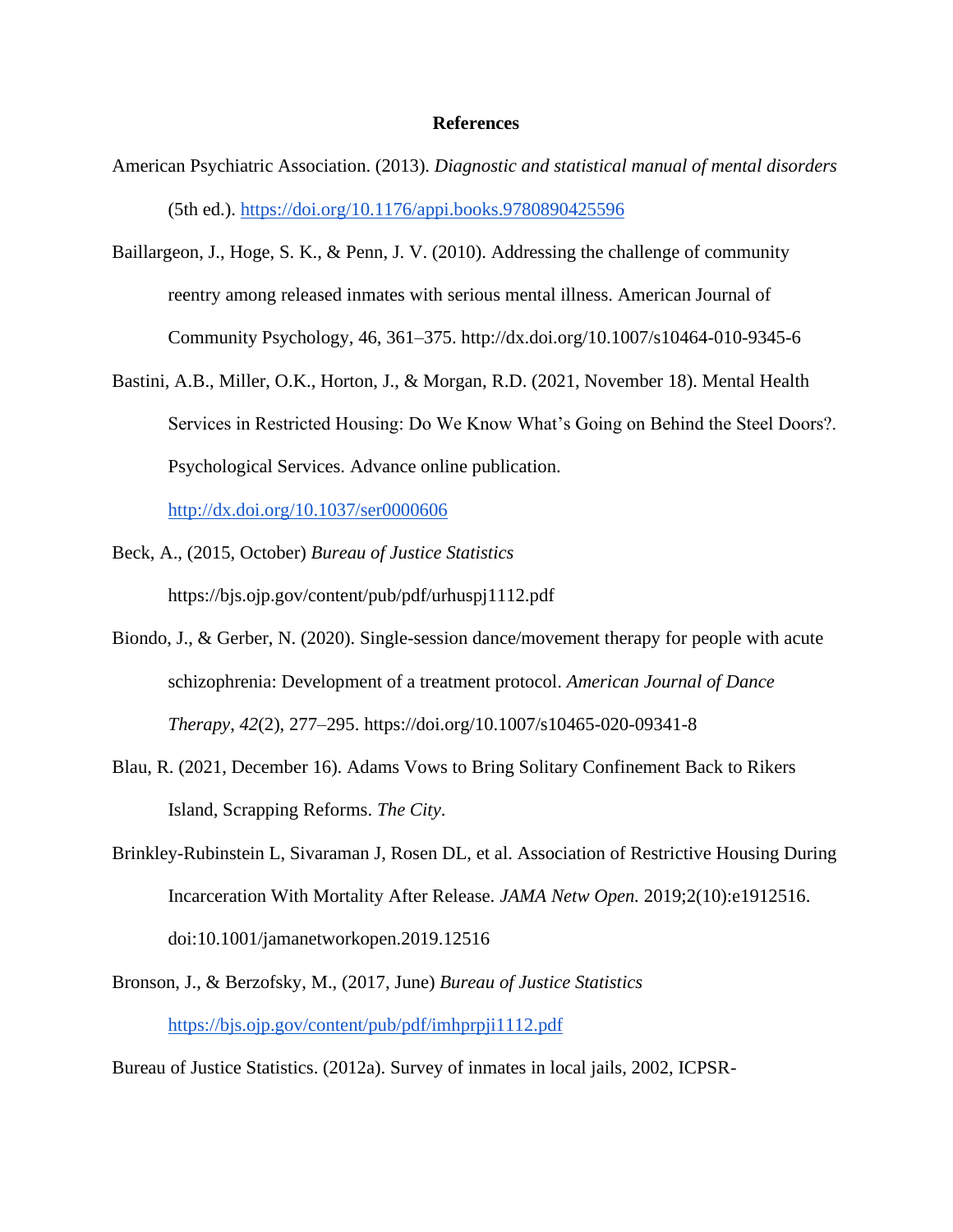#### **References**

- American Psychiatric Association. (2013). *Diagnostic and statistical manual of mental disorders* (5th ed.)[.](https://doi.org/10.1176/appi.books.9780890425596) <https://doi.org/10.1176/appi.books.9780890425596>
- Baillargeon, J., Hoge, S. K., & Penn, J. V. (2010). Addressing the challenge of community reentry among released inmates with serious mental illness. American Journal of Community Psychology, 46, 361–375. http://dx.doi.org/10.1007/s10464-010-9345-6
- Bastini, A.B., Miller, O.K., Horton, J., & Morgan, R.D. (2021, November 18). Mental Health Services in Restricted Housing: Do We Know What's Going on Behind the Steel Doors?. Psychological Services. Advance online publication.

<http://dx.doi.org/10.1037/ser0000606>

- Beck, A., (2015, October) *Bureau of Justice Statistics* https://bjs.ojp.gov/content/pub/pdf/urhuspj1112.pdf
- Biondo, J., & Gerber, N. (2020). Single-session dance/movement therapy for people with acute schizophrenia: Development of a treatment protocol. *American Journal of Dance Therapy*, *42*(2), 277–295. https://doi.org/10.1007/s10465-020-09341-8
- Blau, R. (2021, December 16). Adams Vows to Bring Solitary Confinement Back to Rikers Island, Scrapping Reforms. *The City*.
- Brinkley-Rubinstein L, Sivaraman J, Rosen DL, et al. Association of Restrictive Housing During Incarceration With Mortality After Release. *JAMA Netw Open.* 2019;2(10):e1912516. doi:10.1001/jamanetworkopen.2019.12516
- Bronson, J., & Berzofsky, M., (2017, June) *Bureau of Justice Statistic[s](https://bjs.ojp.gov/content/pub/pdf/imhprpji1112.pdf)* <https://bjs.ojp.gov/content/pub/pdf/imhprpji1112.pdf>

Bureau of Justice Statistics. (2012a). Survey of inmates in local jails, 2002, ICPSR-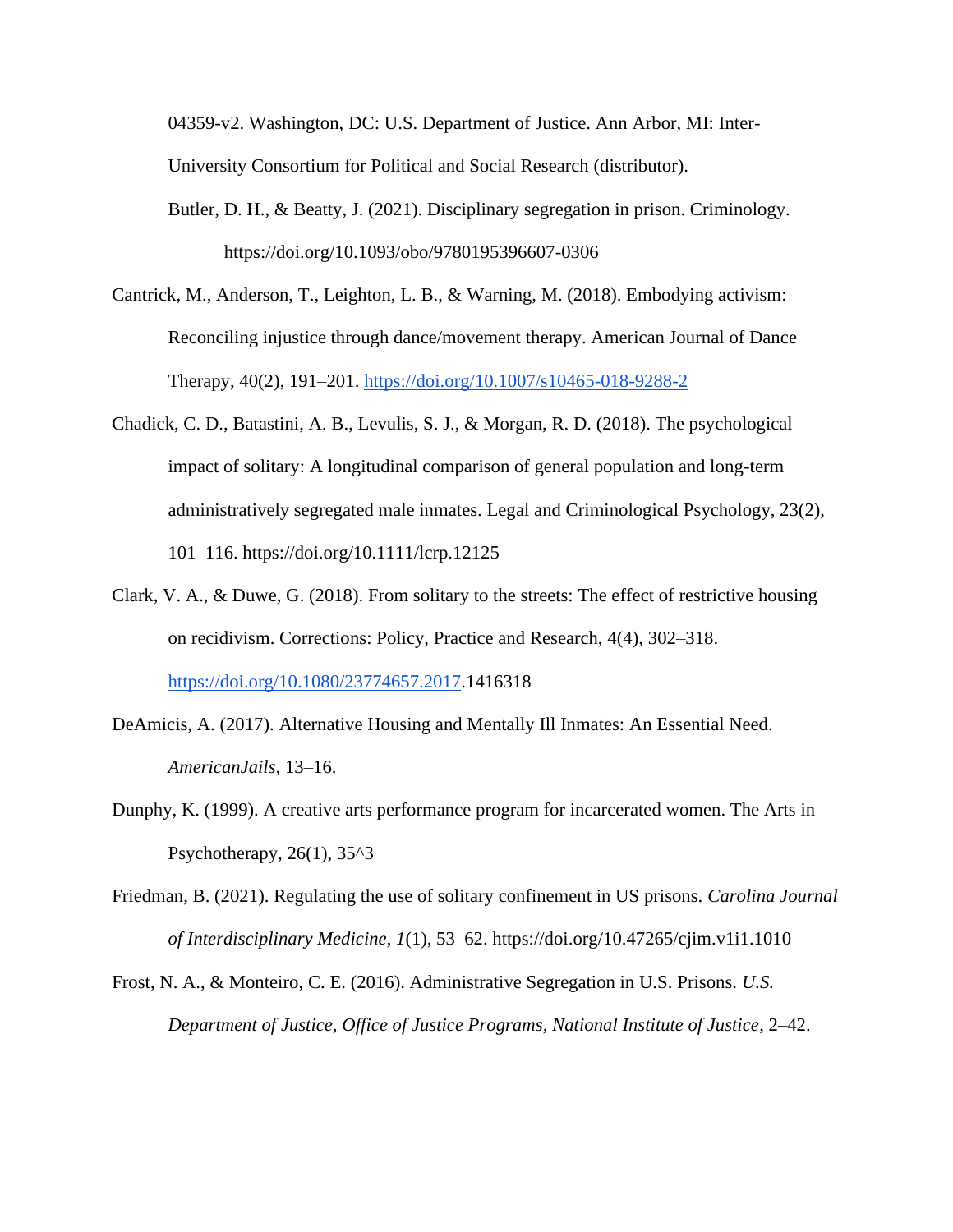04359-v2. Washington, DC: U.S. Department of Justice. Ann Arbor, MI: Inter-University Consortium for Political and Social Research (distributor).

- Butler, D. H., & Beatty, J. (2021). Disciplinary segregation in prison. Criminology. https://doi.org/10.1093/obo/9780195396607-0306
- Cantrick, M., Anderson, T., Leighton, L. B., & Warning, M. (2018). Embodying activism: Reconciling injustice through dance/movement therapy. American Journal of Dance Therapy, 40(2), 191–201[.](https://doi.org/10.1007/s10465-018-9288-2) <https://doi.org/10.1007/s10465-018-9288-2>
- Chadick, C. D., Batastini, A. B., Levulis, S. J., & Morgan, R. D. (2018). The psychological impact of solitary: A longitudinal comparison of general population and long-term administratively segregated male inmates. Legal and Criminological Psychology, 23(2), 101–116. https://doi.org/10.1111/lcrp.12125
- Clark, V. A., & Duwe, G. (2018). From solitary to the streets: The effect of restrictive housing on recidivism. Corrections: Policy, Practice and Research, 4(4), 302–318[.](https://doi.org/10.1080/23774657.2017) [https://doi.org/10.1080/23774657.2017.](https://doi.org/10.1080/23774657.2017)1416318
- DeAmicis, A. (2017). Alternative Housing and Mentally Ill Inmates: An Essential Need. *AmericanJails*, 13–16.
- Dunphy, K. (1999). A creative arts performance program for incarcerated women. The Arts in Psychotherapy,  $26(1)$ ,  $35^{\text{A}}3$
- Friedman, B. (2021). Regulating the use of solitary confinement in US prisons. *Carolina Journal of Interdisciplinary Medicine*, *1*(1), 53–62. https://doi.org/10.47265/cjim.v1i1.1010
- Frost, N. A., & Monteiro, C. E. (2016). Administrative Segregation in U.S. Prisons. *U.S. Department of Justice, Office of Justice Programs, National Institute of Justice*, 2–42.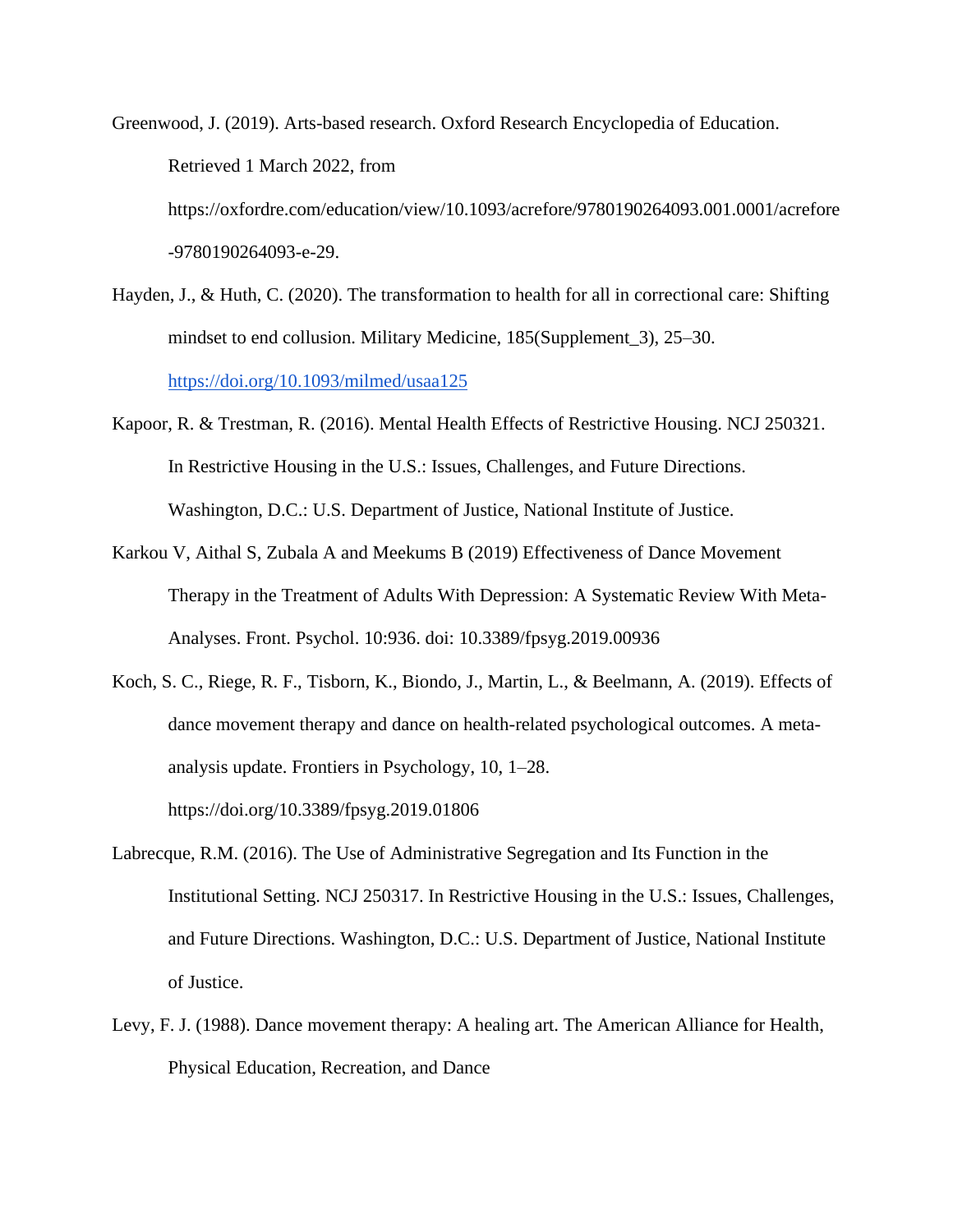Greenwood, J. (2019). Arts-based research. Oxford Research Encyclopedia of Education. Retrieved 1 March 2022, from https://oxfordre.com/education/view/10.1093/acrefore/9780190264093.001.0001/acrefore -9780190264093-e-29.

- Hayden, J., & Huth, C. (2020). The transformation to health for all in correctional care: Shifting mindset to end collusion. Military Medicine, 185(Supplement\_3), 25–30[.](https://doi.org/10.1093/milmed/usaa125) <https://doi.org/10.1093/milmed/usaa125>
- Kapoor, R. & Trestman, R. (2016). Mental Health Effects of Restrictive Housing. NCJ 250321. In Restrictive Housing in the U.S.: Issues, Challenges, and Future Directions. Washington, D.C.: U.S. Department of Justice, National Institute of Justice.
- Karkou V, Aithal S, Zubala A and Meekums B (2019) Effectiveness of Dance Movement Therapy in the Treatment of Adults With Depression: A Systematic Review With Meta-Analyses. Front. Psychol. 10:936. doi: 10.3389/fpsyg.2019.00936
- Koch, S. C., Riege, R. F., Tisborn, K., Biondo, J., Martin, L., & Beelmann, A. (2019). Effects of dance movement therapy and dance on health-related psychological outcomes. A metaanalysis update. Frontiers in Psychology, 10, 1–28. https://doi.org/10.3389/fpsyg.2019.01806
- Labrecque, R.M. (2016). The Use of Administrative Segregation and Its Function in the Institutional Setting. NCJ 250317. In Restrictive Housing in the U.S.: Issues, Challenges, and Future Directions. Washington, D.C.: U.S. Department of Justice, National Institute of Justice.
- Levy, F. J. (1988). Dance movement therapy: A healing art. The American Alliance for Health, Physical Education, Recreation, and Dance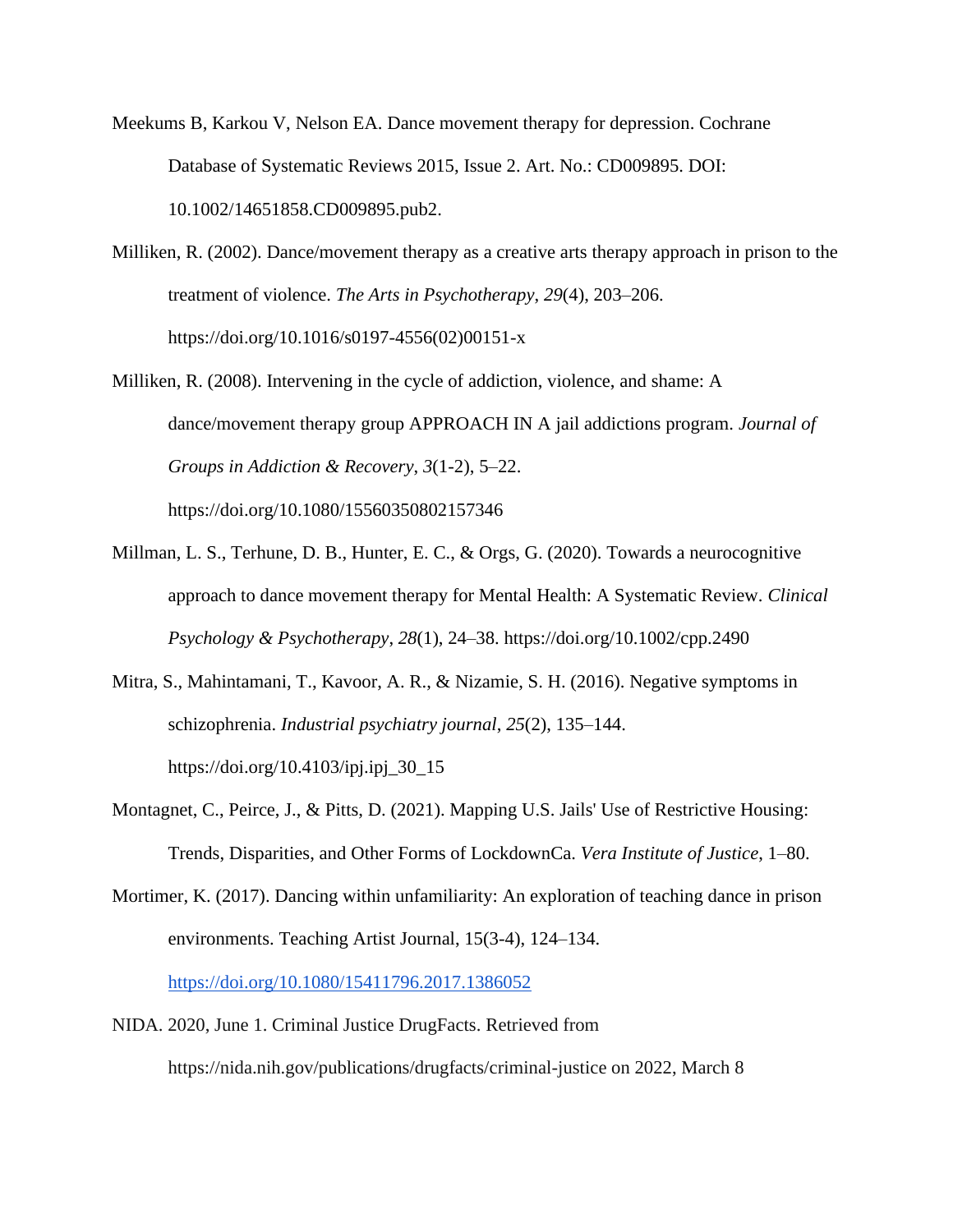- Meekums B, Karkou V, Nelson EA. Dance movement therapy for depression. Cochrane Database of Systematic Reviews 2015, Issue 2. Art. No.: CD009895. DOI: 10.1002/14651858.CD009895.pub2.
- Milliken, R. (2002). Dance/movement therapy as a creative arts therapy approach in prison to the treatment of violence. *The Arts in Psychotherapy*, *29*(4), 203–206. https://doi.org/10.1016/s0197-4556(02)00151-x
- Milliken, R. (2008). Intervening in the cycle of addiction, violence, and shame: A dance/movement therapy group APPROACH IN A jail addictions program. *Journal of Groups in Addiction & Recovery*, *3*(1-2), 5–22. https://doi.org/10.1080/15560350802157346
- Millman, L. S., Terhune, D. B., Hunter, E. C., & Orgs, G. (2020). Towards a neurocognitive approach to dance movement therapy for Mental Health: A Systematic Review. *Clinical Psychology & Psychotherapy*, *28*(1), 24–38. https://doi.org/10.1002/cpp.2490
- Mitra, S., Mahintamani, T., Kavoor, A. R., & Nizamie, S. H. (2016). Negative symptoms in schizophrenia. *Industrial psychiatry journal*, *25*(2), 135–144. https://doi.org/10.4103/ipj.ipj\_30\_15
- Montagnet, C., Peirce, J., & Pitts, D. (2021). Mapping U.S. Jails' Use of Restrictive Housing: Trends, Disparities, and Other Forms of LockdownCa. *Vera Institute of Justice*, 1–80.
- Mortimer, K. (2017). Dancing within unfamiliarity: An exploration of teaching dance in prison environments. Teaching Artist Journal, 15(3-4), 124–134[.](https://doi.org/10.1080/15411796.2017.1386052) <https://doi.org/10.1080/15411796.2017.1386052>
- NIDA. 2020, June 1. Criminal Justice DrugFacts. Retrieved from https://nida.nih.gov/publications/drugfacts/criminal-justice on 2022, March 8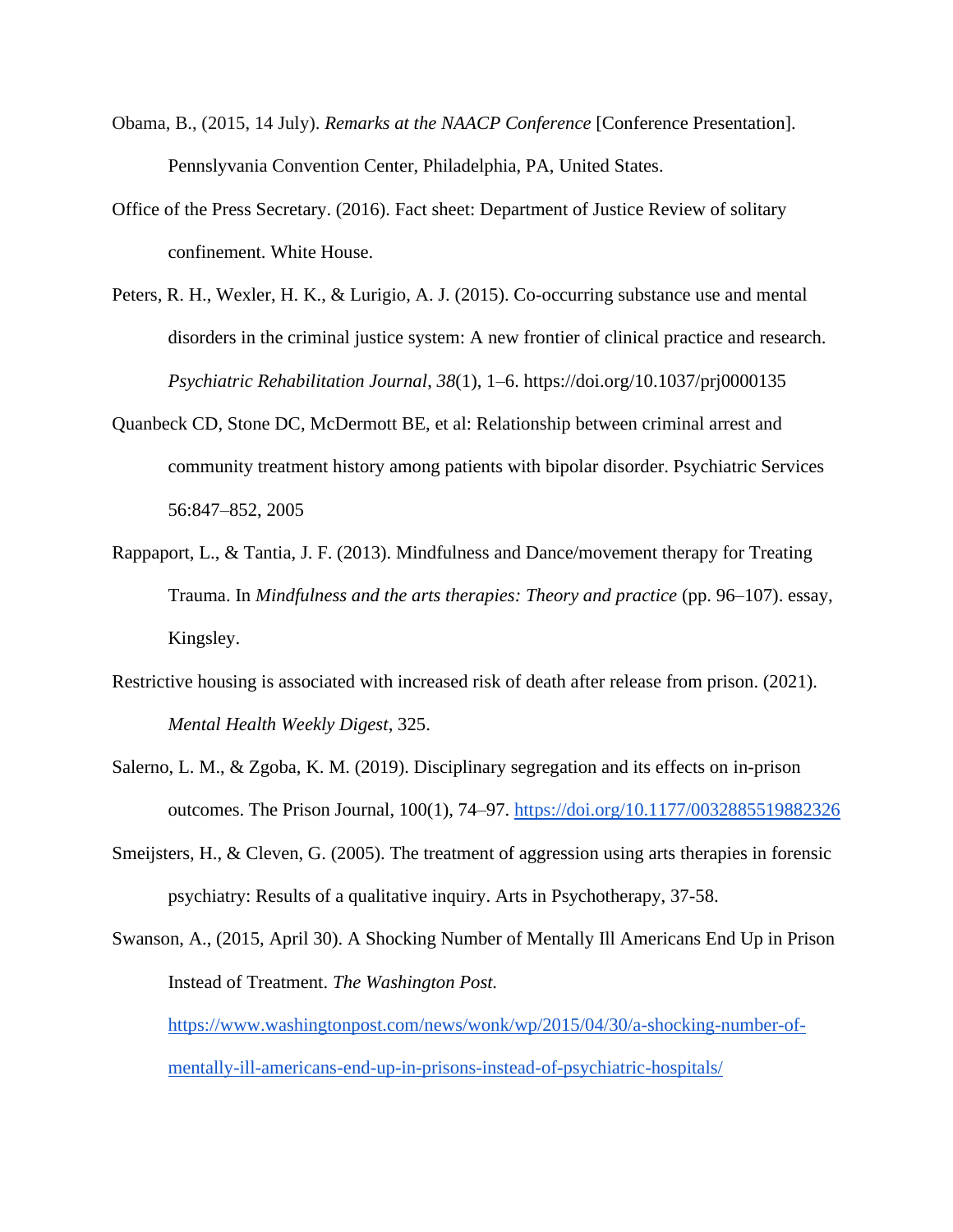- Obama, B., (2015, 14 July). *Remarks at the NAACP Conference* [Conference Presentation]. Pennslyvania Convention Center, Philadelphia, PA, United States.
- Office of the Press Secretary. (2016). Fact sheet: Department of Justice Review of solitary confinement. White House.
- Peters, R. H., Wexler, H. K., & Lurigio, A. J. (2015). Co-occurring substance use and mental disorders in the criminal justice system: A new frontier of clinical practice and research. *Psychiatric Rehabilitation Journal*, *38*(1), 1–6. https://doi.org/10.1037/prj0000135
- Quanbeck CD, Stone DC, McDermott BE, et al: Relationship between criminal arrest and community treatment history among patients with bipolar disorder. Psychiatric Services 56:847–852, 2005
- Rappaport, L., & Tantia, J. F. (2013). Mindfulness and Dance/movement therapy for Treating Trauma. In *Mindfulness and the arts therapies: Theory and practice* (pp. 96–107). essay, Kingsley.
- Restrictive housing is associated with increased risk of death after release from prison. (2021). *Mental Health Weekly Digest*, 325.
- Salerno, L. M., & Zgoba, K. M. (2019). Disciplinary segregation and its effects on in-prison outcomes. The Prison Journal, 100(1), 74–97[.](https://doi.org/10.1177/0032885519882326) <https://doi.org/10.1177/0032885519882326>
- Smeijsters, H., & Cleven, G. (2005). The treatment of aggression using arts therapies in forensic psychiatry: Results of a qualitative inquiry. Arts in Psychotherapy, 37-58.

Swanson, A., (2015, April 30). A Shocking Number of Mentally Ill Americans End Up in Prison Instead of Treatment. *The Washington Post[.](https://www.washingtonpost.com/news/wonk/wp/2015/04/30/a-shocking-number-of-mentally-ill-americans-end-up-in-prisons-instead-of-psychiatric-hospitals/)* [https://www.washingtonpost.com/news/wonk/wp/2015/04/30/a-shocking-number-of](https://www.washingtonpost.com/news/wonk/wp/2015/04/30/a-shocking-number-of-mentally-ill-americans-end-up-in-prisons-instead-of-psychiatric-hospitals/)[mentally-ill-americans-end-up-in-prisons-instead-of-psychiatric-hospitals/](https://www.washingtonpost.com/news/wonk/wp/2015/04/30/a-shocking-number-of-mentally-ill-americans-end-up-in-prisons-instead-of-psychiatric-hospitals/)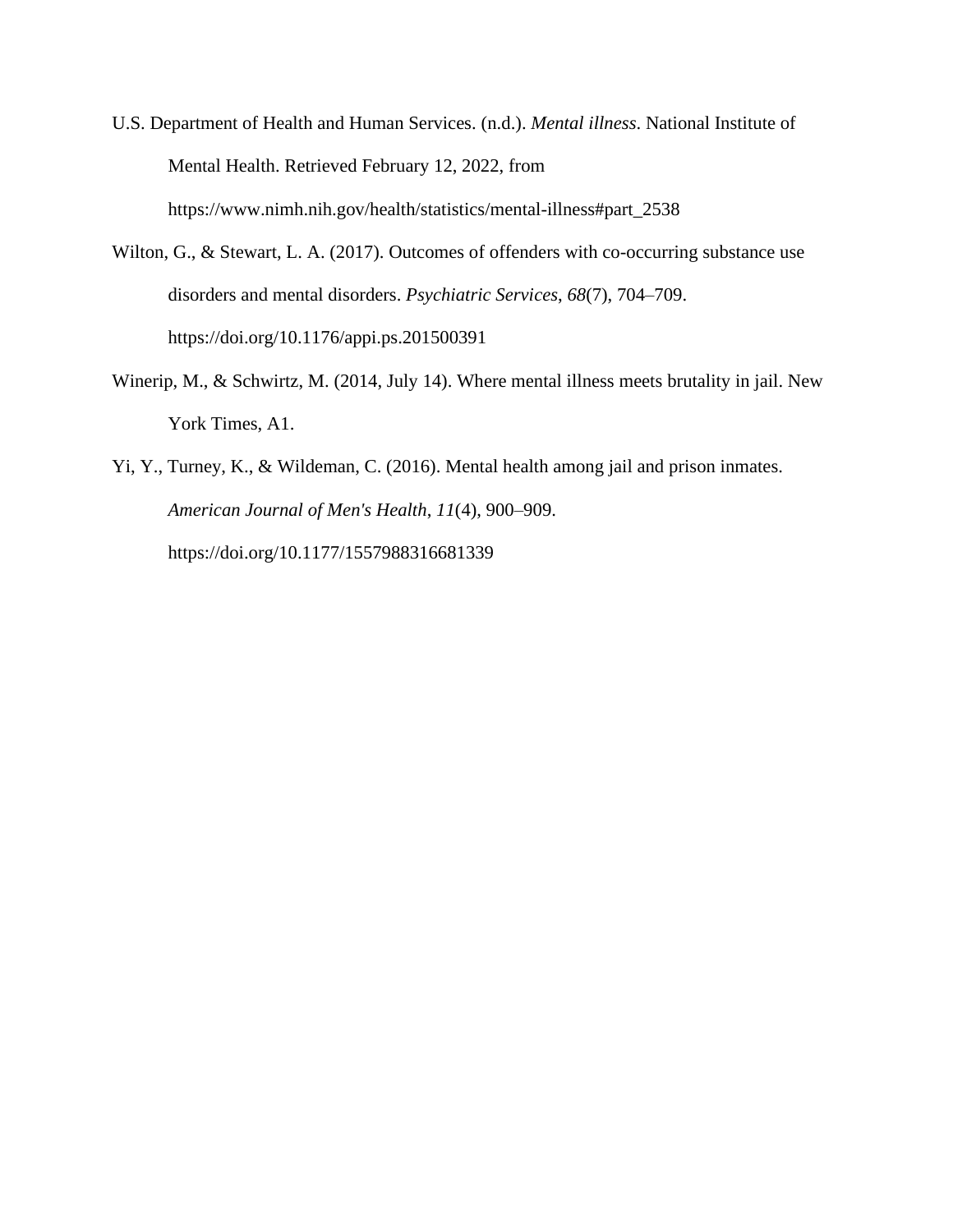- U.S. Department of Health and Human Services. (n.d.). *Mental illness*. National Institute of Mental Health. Retrieved February 12, 2022, from https://www.nimh.nih.gov/health/statistics/mental-illness#part\_2538
- Wilton, G., & Stewart, L. A. (2017). Outcomes of offenders with co-occurring substance use disorders and mental disorders. *Psychiatric Services*, *68*(7), 704–709. https://doi.org/10.1176/appi.ps.201500391
- Winerip, M., & Schwirtz, M. (2014, July 14). Where mental illness meets brutality in jail. New York Times, A1.
- Yi, Y., Turney, K., & Wildeman, C. (2016). Mental health among jail and prison inmates. *American Journal of Men's Health*, *11*(4), 900–909. https://doi.org/10.1177/1557988316681339